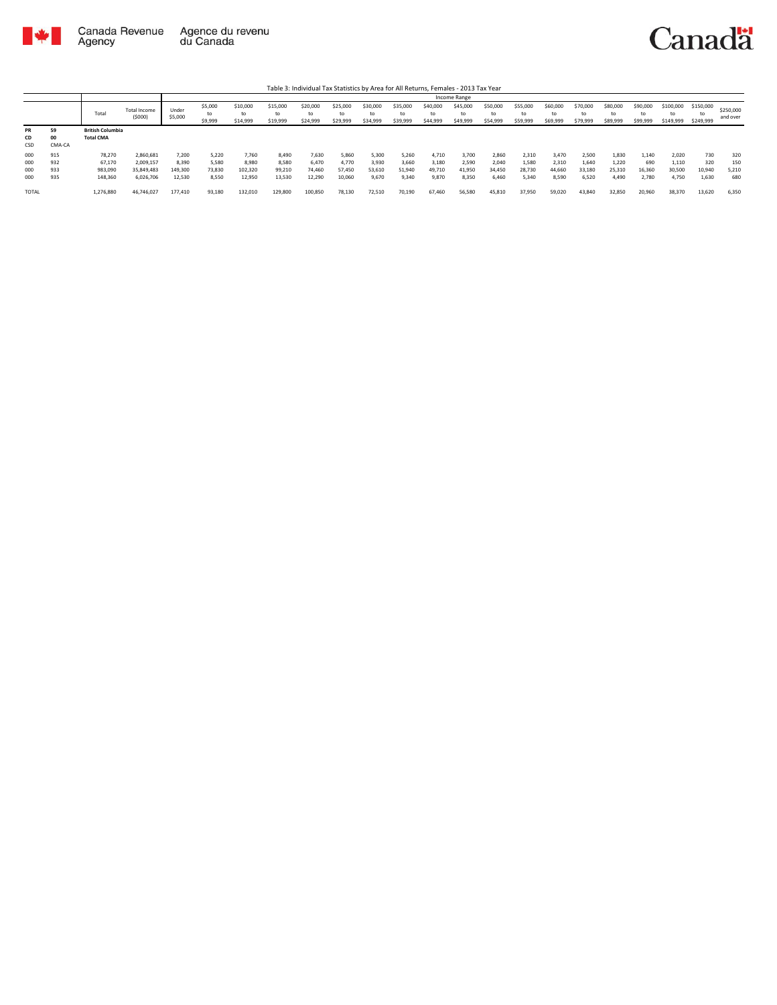

|              |        |                         |                               |                  |                          |                            |                            |                            |                            |                            |                            |                            | Income Range               |                            |                            |                            |                            |                            |                            |                              |                              |                       |
|--------------|--------|-------------------------|-------------------------------|------------------|--------------------------|----------------------------|----------------------------|----------------------------|----------------------------|----------------------------|----------------------------|----------------------------|----------------------------|----------------------------|----------------------------|----------------------------|----------------------------|----------------------------|----------------------------|------------------------------|------------------------------|-----------------------|
|              |        | Total                   | <b>Total Income</b><br>(5000) | Under<br>\$5,000 | \$5,000<br>to<br>\$9,999 | \$10,000<br>to<br>\$14,999 | \$15,000<br>to<br>\$19,999 | \$20,000<br>to<br>\$24,999 | \$25,000<br>to<br>\$29,999 | \$30,000<br>to<br>\$34,999 | \$35,000<br>to<br>\$39,999 | \$40,000<br>to<br>\$44,999 | \$45,000<br>to<br>\$49,999 | \$50,000<br>to<br>\$54,999 | \$55,000<br>to<br>\$59,999 | \$60,000<br>to<br>\$69,999 | \$70,000<br>to<br>\$79,999 | \$80,000<br>to<br>\$89,999 | \$90,000<br>to<br>\$99,999 | \$100,000<br>to<br>\$149,999 | \$150,000<br>tο<br>\$249,999 | \$250,000<br>and over |
| <b>PR</b>    | 59     | <b>British Columbia</b> |                               |                  |                          |                            |                            |                            |                            |                            |                            |                            |                            |                            |                            |                            |                            |                            |                            |                              |                              |                       |
| CD           | 00     | <b>Total CMA</b>        |                               |                  |                          |                            |                            |                            |                            |                            |                            |                            |                            |                            |                            |                            |                            |                            |                            |                              |                              |                       |
| CSD          | CMA-CA |                         |                               |                  |                          |                            |                            |                            |                            |                            |                            |                            |                            |                            |                            |                            |                            |                            |                            |                              |                              |                       |
| 000          | 915    | 78,270                  | 2,860,681                     | 7,200            | 5,220                    | 7,760                      | 8,490                      | 7,630                      | 5,860                      | 5,300                      | 5.260                      | 4.710                      | 3,700                      | 2,860                      | 2,310                      | 3,470                      | 2,500                      | 1,830                      | 1.140                      | 2.020                        | 730                          | 320                   |
| 000          | 932    | 67,170                  | 2,009,157                     | 8,390            | 5,580                    | 8.980                      | 8.580                      | 6,470                      | 4.770                      | 3,930                      | 3,660                      | 3.180                      | 2,590                      | 2.040                      | 1,580                      | 2.310                      | 1,640                      | 1,220                      | 690                        | 1,110                        | 320                          | 150                   |
| 000          | 933    | 983,090                 | 35,849,483                    | 149,300          | 73,830                   | 102,320                    | 99,210                     | 74,460                     | 57,450                     | 53,610                     | 51,940                     | 49.710                     | 41,950                     | 34,450                     | 28,730                     | 44.660                     | 33,180                     | 25,310                     | 16,360                     | 30,500                       | 10,940                       | 5,210                 |
| 000          | 935    | 148,360                 | 6,026,706                     | 12,530           | 8.550                    | 12.950                     | 13,530                     | 12,290                     | 10,060                     | 9,670                      | 9,340                      | 9,870                      | 8,350                      | 6.460                      | 5,340                      | 8.590                      | 6,520                      | 4.490                      | 2.780                      | 4,750                        | 1,630                        | 680                   |
| <b>TOTAL</b> |        | 1,276,880               | 46,746,027                    | 177,410          | 93,180                   | 132,010                    | 129,800                    | 100,850                    | 78,130                     | 72,510                     | 70,190                     | 67,460                     | 56,580                     | 45,810                     | 37,950                     | 59,020                     | 43,840                     | 32,850                     | 20,960                     | 38,370                       | 13,620                       | 6,350                 |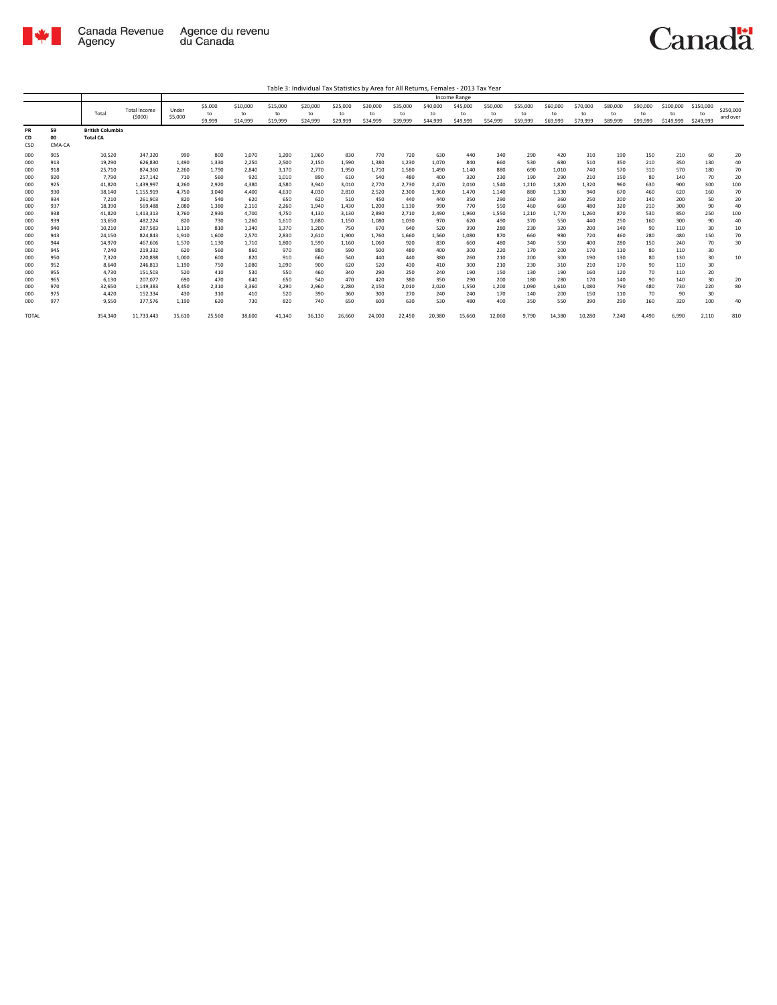

Table 3: Individual Tax Statistics by Area for All Returns, Females - 2013 Tax Year

|                 |                    |                                            |                                |                  |                          |                            |                            |                            |                            |                            |                            |                            | Income Range               |                            |                            |                            |                            |                            |                            |                              |                             |                       |
|-----------------|--------------------|--------------------------------------------|--------------------------------|------------------|--------------------------|----------------------------|----------------------------|----------------------------|----------------------------|----------------------------|----------------------------|----------------------------|----------------------------|----------------------------|----------------------------|----------------------------|----------------------------|----------------------------|----------------------------|------------------------------|-----------------------------|-----------------------|
|                 |                    | Total                                      | <b>Total Income</b><br>(\$000) | Under<br>\$5,000 | \$5,000<br>to<br>\$9,999 | \$10,000<br>to<br>\$14,999 | \$15,000<br>to<br>\$19,999 | \$20,000<br>to<br>\$24,999 | \$25,000<br>to<br>\$29,999 | \$30,000<br>to<br>\$34,999 | \$35,000<br>to<br>\$39,999 | \$40,000<br>to<br>\$44,999 | \$45,000<br>to<br>\$49,999 | \$50,000<br>to<br>\$54,999 | \$55,000<br>to<br>\$59,999 | \$60,000<br>to<br>\$69,999 | \$70,000<br>to<br>\$79,999 | \$80,000<br>to<br>\$89,999 | \$90,000<br>to<br>\$99,999 | \$100,000<br>to<br>\$149,999 | \$150,000<br>to<br>\$249,99 | \$250,000<br>and over |
| PR<br>CD<br>CSD | 59<br>00<br>CMA-CA | <b>British Columbia</b><br><b>Total CA</b> |                                |                  |                          |                            |                            |                            |                            |                            |                            |                            |                            |                            |                            |                            |                            |                            |                            |                              |                             |                       |
| 000             | 905                | 10,520                                     | 347,320                        | 990              | 800                      | 1,070                      | 1,200                      | 1,060                      | 830                        | 770                        | 720                        | 630                        | 440                        | 340                        | 290                        | 420                        | 310                        | 190                        | 150                        | 210                          | 60                          | 20                    |
| 000             | 913                | 19,290                                     | 626.830                        | 1.490            | 1,330                    | 2,250                      | 2,500                      | 2,150                      | 1,590                      | 1,380                      | 1,230                      | 1,070                      | 840                        | 660                        | 530                        | 680                        | 510                        | 350                        | 210                        | 350                          | 130                         | 40                    |
| 000             | 918                | 25,710                                     | 874.360                        | 2,260            | 1,790                    | 2,840                      | 3,170                      | 2,770                      | 1,950                      | 1,710                      | 1,580                      | 1,490                      | 1,140                      | 880                        | 690                        | 1,010                      | 740                        | 570                        | 310                        | 570                          | 180                         | 70                    |
| 000             | 920                | 7,790                                      | 257,142                        | 710              | 560                      | 920                        | 1,010                      | 890                        | 610                        | 540                        | 480                        | 400                        | 320                        | 230                        | 190                        | 290                        | 210                        | 150                        | 80                         | 140                          | 70                          | 20                    |
| 000             | 925                | 41,820                                     | 1,439,997                      | 4,260            | 2,920                    | 4,380                      | 4,580                      | 3,940                      | 3,010                      | 2,770                      | 2,730                      | 2,470                      | 2,010                      | 1,540                      | 1,210                      | 1,820                      | 1,320                      | 960                        | 630                        | 900                          | 300                         | 100                   |
| 000             | 930                | 38,140                                     | 1.155.919                      | 4.750            | 3,040                    | 4.400                      | 4,630                      | 4,030                      | 2,810                      | 2,520                      | 2,300                      | 1.960                      | 1,470                      | 1.140                      | 880                        | 1,330                      | 940                        | 670                        | 460                        | 620                          | 160                         | 70                    |
| 000             | 934                | 7,210                                      | 261,903                        | 820              | 540                      | 620                        | 650                        | 620                        | 510                        | 450                        | 440                        | 440                        | 350                        | 290                        | 260                        | 360                        | 250                        | 200                        | 140                        | 200                          | 50                          | 20                    |
| 000             | 937                | 18,390                                     | 569,488                        | 2,080            | 1,380                    | 2,110                      | 2,260                      | 1,940                      | 1,430                      | 1,200                      | 1,130                      | 990                        | 770                        | 550                        | 460                        | 660                        | 480                        | 320                        | 210                        | 300                          | 90                          | 40                    |
| 000             | 938                | 41,820                                     | 1,413,313                      | 3,760            | 2,930                    | 4,700                      | 4,750                      | 4,130                      | 3,130                      | 2,890                      | 2,710                      | 2,490                      | 1,960                      | 1,550                      | 1,210                      | 1,770                      | 1,260                      | 870                        | 530                        | 850                          | 250                         | 100                   |
| 000             | 939                | 13,650                                     | 482,224                        | 820              | 730                      | 1,260                      | 1,610                      | 1,680                      | 1,150                      | 1,080                      | 1,030                      | 970                        | 620                        | 490                        | 370                        | 550                        | 440                        | 250                        | 160                        | 300                          | 90                          | 40                    |
| 000             | 940                | 10,210                                     | 287,583                        | 1,110            | 810                      | 1,340                      | 1,370                      | 1,200                      | 750                        | 670                        | 640                        | 520                        | 390                        | 280                        | 230                        | 320                        | 200                        | 140                        | 90                         | 110                          | 30                          | 10                    |
| 000             | 943                | 24,150                                     | 824,843                        | 1,910            | 1,600                    | 2,570                      | 2,830                      | 2,610                      | 1,900                      | 1,760                      | 1,660                      | 1,560                      | 1,080                      | 870                        | 660                        | 980                        | 720                        | 460                        | 280                        | 480                          | 150                         | 70                    |
| 000             | 944                | 14,970                                     | 467.606                        | 1.570            | 1,130                    | 1,710                      | 1,800                      | 1,590                      | 1,160                      | 1,060                      | 920                        | 830                        | 660                        | 480                        | 340                        | 550                        | 400                        | 280                        | 150                        | 240                          | 70                          | 30                    |
| 000             | 945                | 7,240                                      | 219.332                        | 620              | 560                      | 860                        | 970                        | 880                        | 590                        | 500                        | 480                        | 400                        | 300                        | 220                        | 170                        | 200                        | 170                        | 110                        | 80                         | 110                          | 30                          |                       |
| 000             | 950                | 7,320                                      | 220,898                        | 1.000            | 600                      | 820                        | 910                        | 660                        | 540                        | 440                        | 440                        | 380                        | 260                        | 210                        | 200                        | 300                        | 190                        | 130                        | 80                         | 130                          | 30                          | 10                    |
| 000             | 952                | 8.640                                      | 246.813                        | 1.190            | 750                      | 1.080                      | 1.090                      | 900                        | 620                        | 520                        | 430                        | 410                        | 300                        | 210                        | 230                        | 310                        | 210                        | 170                        | 90                         | 110                          | 30                          |                       |
| 000             | 955                | 4,730                                      | 151,503                        | 520              | 410                      | 530                        | 550                        | 460                        | 340                        | 290                        | 250                        | 240                        | 190                        | 150                        | 130                        | 190                        | 160                        | 120                        | 70                         | 110                          | 20                          |                       |
| 000             | 965<br>970         | 6,130                                      | 207.077                        | 690              | 470                      | 640                        | 650                        | 540                        | 470                        | 420                        | 380                        | 350                        | 290                        | 200                        | 180                        | 280                        | 170                        | 140                        | 90<br>480                  | 140                          | 30                          | 20                    |
| 000<br>000      | 975                | 32,650<br>4.420                            | 1,149,383<br>152.334           | 3,450<br>430     | 2,310<br>310             | 3,360<br>410               | 3,290<br>520               | 2,960<br>390               | 2,280<br>360               | 2,150<br>300               | 2,010<br>270               | 2,020<br>240               | 1,550<br>240               | 1,200<br>170               | 1,090<br>140               | 1,610<br>200               | 1,080<br>150               | 790<br>110                 | 70                         | 730<br>90                    | 220<br>30                   | 80                    |
| 000             | 977                | 9,550                                      | 377,576                        | 1,190            | 620                      | 730                        | 820                        | 740                        | 650                        | 600                        | 630                        | 530                        | 480                        | 400                        | 350                        | 550                        | 390                        | 290                        | 160                        | 320                          | 100                         | 40                    |
|                 |                    |                                            |                                |                  |                          |                            |                            |                            |                            |                            |                            |                            |                            |                            |                            |                            |                            |                            |                            |                              |                             |                       |
| <b>TOTAL</b>    |                    | 354,340                                    | 11,733,443                     | 35,610           | 25,560                   | 38,600                     | 41,140                     | 36,130                     | 26,660                     | 24,000                     | 22,450                     | 20,380                     | 15,660                     | 12,060                     | 9,790                      | 14,380                     | 10,280                     | 7.240                      | 4.490                      | 6,990                        | 2,110                       | 810                   |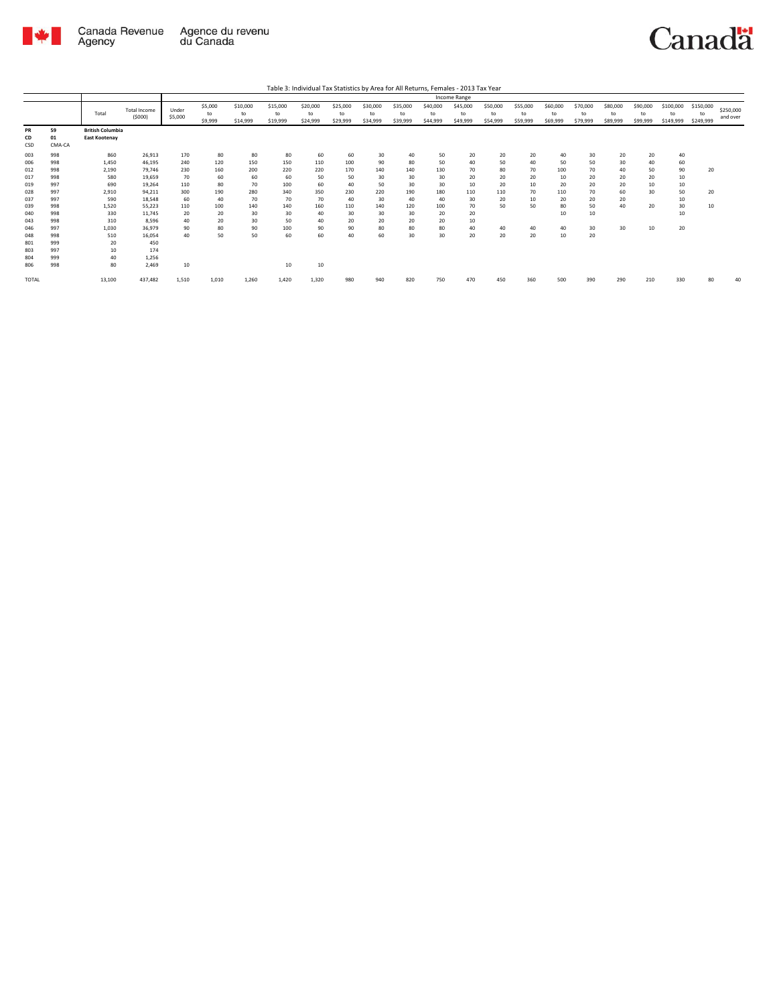

|                                 |                                 |                                                 |                                                |                                |                              |                              |                               |                              |                              |                             |                             |                             | Income Range               |                            |                            |                             |                            |                            |                            |                              |                              |                       |
|---------------------------------|---------------------------------|-------------------------------------------------|------------------------------------------------|--------------------------------|------------------------------|------------------------------|-------------------------------|------------------------------|------------------------------|-----------------------------|-----------------------------|-----------------------------|----------------------------|----------------------------|----------------------------|-----------------------------|----------------------------|----------------------------|----------------------------|------------------------------|------------------------------|-----------------------|
|                                 |                                 | Total                                           | <b>Total Income</b><br>(5000)                  | Under<br>\$5,000               | \$5,000<br>to<br>\$9,999     | \$10,000<br>to<br>\$14,999   | \$15,000<br>to<br>\$19,999    | \$20,000<br>to<br>\$24,999   | \$25,000<br>to<br>\$29,999   | \$30,000<br>to<br>\$34,999  | \$35,000<br>to<br>\$39,999  | \$40,000<br>to<br>\$44,999  | \$45,000<br>to<br>\$49,999 | \$50,000<br>to<br>\$54,999 | \$55,000<br>to<br>\$59,999 | \$60,000<br>to<br>\$69,999  | \$70,000<br>to<br>\$79,999 | \$80,000<br>to<br>\$89,999 | \$90,000<br>to<br>\$99,999 | \$100,000<br>to<br>\$149,999 | \$150,000<br>to<br>\$249,999 | \$250,000<br>and over |
| PR<br>CD<br>CSD                 | 59<br>01<br>CMA-CA              | <b>British Columbia</b><br><b>East Kootenav</b> |                                                |                                |                              |                              |                               |                              |                              |                             |                             |                             |                            |                            |                            |                             |                            |                            |                            |                              |                              |                       |
| 003<br>006<br>012<br>017<br>019 | 998<br>998<br>998<br>998<br>997 | 860<br>1,450<br>2,190<br>580<br>690             | 26,913<br>46,195<br>79.746<br>19,659<br>19.264 | 170<br>240<br>230<br>70<br>110 | 80<br>120<br>160<br>60<br>80 | 80<br>150<br>200<br>60<br>70 | 80<br>150<br>220<br>60<br>100 | 60<br>110<br>220<br>50<br>60 | 60<br>100<br>170<br>50<br>40 | 30<br>90<br>140<br>30<br>50 | 40<br>80<br>140<br>30<br>30 | 50<br>50<br>130<br>30<br>30 | 20<br>40<br>70<br>20<br>10 | 20<br>50<br>80<br>20<br>20 | 20<br>40<br>70<br>20<br>10 | 40<br>50<br>100<br>10<br>20 | 30<br>50<br>70<br>20<br>20 | 20<br>30<br>40<br>20<br>20 | 20<br>40<br>50<br>20<br>10 | 40<br>60<br>90<br>10<br>10   | 20                           |                       |
| 028<br>037                      | 997<br>997                      | 2,910<br>590                                    | 94,211<br>18,548                               | 300<br>60                      | 190<br>40                    | 280<br>70                    | 340<br>70                     | 350<br>70                    | 230<br>40                    | 220<br>30                   | 190<br>40                   | 180<br>40                   | 110<br>30                  | 110<br>20                  | 70<br>10                   | 110<br>20                   | 70<br>20                   | 60<br>20                   | 30                         | 50<br>10                     | 20                           |                       |
| 039<br>040<br>043               | 998<br>998<br>998               | 1,520<br>330<br>310                             | 55.223<br>11.745<br>8,596                      | 110<br>20<br>40                | 100<br>20<br>20              | 140<br>30<br>30              | 140<br>30<br>50               | 160<br>40<br>40              | 110<br>30<br>20              | 140<br>30<br>20             | 120<br>30<br>20             | 100<br>20<br>20             | 70<br>20<br>10             | 50                         | 50                         | 80<br>10                    | 50<br>10                   | 40                         | 20                         | 30<br>10                     | 10                           |                       |
| 046<br>048<br>801<br>803        | 997<br>998<br>999<br>997        | 1,030<br>510<br>20<br>10                        | 36.979<br>16.054<br>450<br>174                 | 90<br>40                       | 80<br>50                     | 90<br>50                     | 100<br>60                     | 90<br>60                     | 90<br>40                     | 80<br>60                    | 80<br>30                    | 80<br>30                    | 40<br>20                   | 40<br>20                   | 40<br>20                   | 40<br>10                    | 30<br>20                   | 30                         | 10                         | 20                           |                              |                       |
| 804<br>806                      | 999<br>998                      | 40<br>80                                        | 1.256<br>2.469                                 | 10                             |                              |                              | 10                            | 10                           |                              |                             |                             |                             |                            |                            |                            |                             |                            |                            |                            |                              |                              |                       |
| TOTAL                           |                                 | 13,100                                          | 437,482                                        | 1,510                          | 1,010                        | 1,260                        | 1,420                         | 1,320                        | 980                          | 940                         | 820                         | 750                         | 470                        | 450                        | 360                        | 500                         | 390                        | 290                        | 210                        | 330                          | 80                           | 40                    |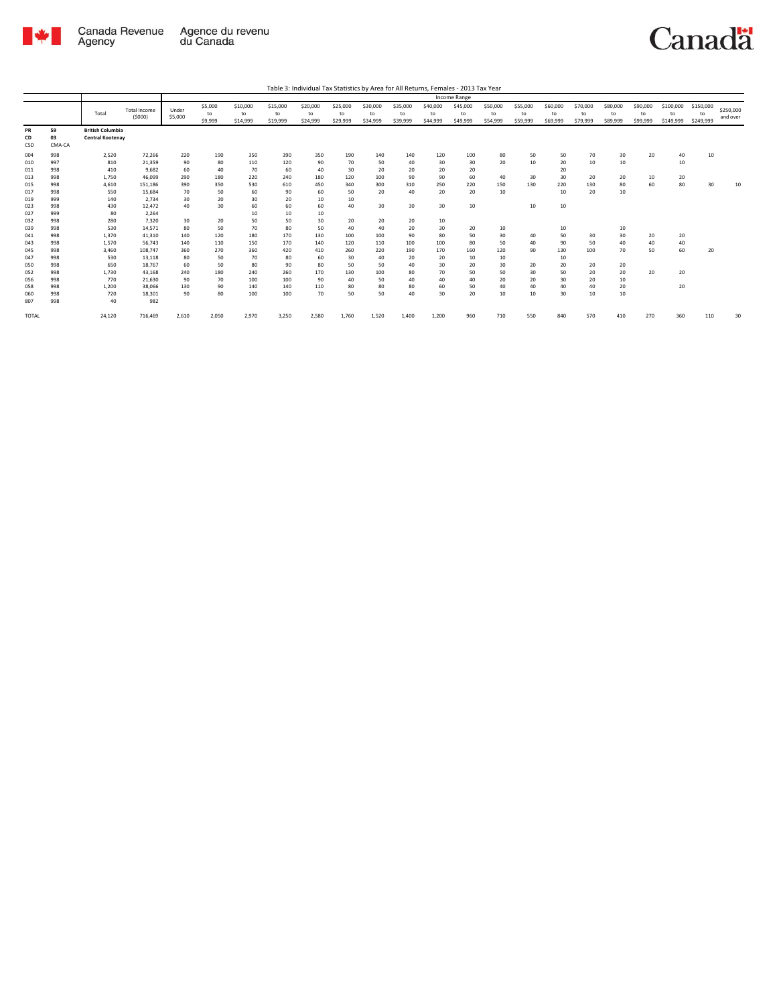

|                 |                    |                                                    |                               |                  |                          |                            |                            |                            |                            |                            |                            |                            | Income Range               |                            |                            |                            |                            |                            |                            |                              |                              |                       |
|-----------------|--------------------|----------------------------------------------------|-------------------------------|------------------|--------------------------|----------------------------|----------------------------|----------------------------|----------------------------|----------------------------|----------------------------|----------------------------|----------------------------|----------------------------|----------------------------|----------------------------|----------------------------|----------------------------|----------------------------|------------------------------|------------------------------|-----------------------|
|                 |                    | Total                                              | <b>Total Income</b><br>(5000) | Under<br>\$5,000 | \$5,000<br>to<br>\$9,999 | \$10,000<br>to<br>\$14,999 | \$15,000<br>to<br>\$19,999 | \$20,000<br>to<br>\$24,999 | \$25,000<br>to<br>\$29,999 | \$30,000<br>to<br>\$34,999 | \$35,000<br>to<br>\$39,999 | \$40,000<br>to<br>\$44,999 | \$45,000<br>to<br>\$49,999 | \$50,000<br>to<br>\$54,999 | \$55,000<br>to<br>\$59,999 | \$60,000<br>to<br>\$69,999 | \$70,000<br>to<br>\$79,999 | \$80,000<br>to<br>\$89,999 | \$90,000<br>to<br>\$99,999 | \$100,000<br>to<br>\$149,999 | \$150,000<br>to<br>\$249,999 | \$250,000<br>and over |
| PR<br>CD<br>CSD | 59<br>03<br>CMA-CA | <b>British Columbia</b><br><b>Central Kootenay</b> |                               |                  |                          |                            |                            |                            |                            |                            |                            |                            |                            |                            |                            |                            |                            |                            |                            |                              |                              |                       |
| 004             | 998                | 2,520                                              | 72,266                        | 220              | 190                      | 350                        | 390                        | 350                        | 190                        | 140                        | 140                        | 120                        | 100                        | 80                         | 50                         | 50                         | 70                         | 30                         | 20                         | 40                           | 10                           |                       |
| 010             | 997                | 810                                                | 21,359                        | 90               | 80                       | 110                        | 120                        | 90                         | 70                         | 50                         | 40                         | 30                         | 30                         | 20                         | 10                         | 20                         | 10                         | 10                         |                            | 10                           |                              |                       |
| 011             | 998                | 410                                                | 9,682                         | 60               | 40                       | 70                         | 60                         | 40                         | 30                         | 20                         | 20                         | 20                         | 20                         |                            |                            | 20                         |                            |                            |                            |                              |                              |                       |
| 013             | 998                | 1,750                                              | 46.099                        | 290              | 180                      | 220                        | 240                        | 180                        | 120                        | 100                        | 90                         | 90                         | 60                         | 40                         | 30                         | 30                         | 20                         | 20                         | 10                         | 20                           |                              |                       |
| 015             | 998                | 4,610                                              | 151,186                       | 390              | 350                      | 530                        | 610                        | 450                        | 340                        | 300                        | 310                        | 250                        | 220                        | 150                        | 130                        | 220                        | 130                        | 80                         | 60                         | 80                           | 30                           | 10                    |
| 017             | 998                | 550                                                | 15,684                        | 70               | 50                       | 60                         | 90                         | 60                         | 50                         | 20                         | 40                         | 20                         | 20                         | 10                         |                            | 10                         | 20                         | 10                         |                            |                              |                              |                       |
| 019             | 999                | 140                                                | 2,734                         | 30               | 20                       | 30                         | 20                         | 10                         | 10                         |                            |                            |                            |                            |                            |                            |                            |                            |                            |                            |                              |                              |                       |
| 023             | 998                | 430                                                | 12,472                        | 40               | 30                       | 60                         | 60                         | 60                         | 40                         | 30                         | 30                         | 30                         | 10                         |                            | 10                         | 10                         |                            |                            |                            |                              |                              |                       |
| 027             | 999                | 80                                                 | 2,264                         |                  |                          | 10                         | 10                         | 10                         |                            |                            |                            |                            |                            |                            |                            |                            |                            |                            |                            |                              |                              |                       |
| 032             | 998                | 280                                                | 7.320                         | 30               | 20                       | 50                         | 50                         | 30                         | 20                         | 20                         | 20                         | 10                         |                            |                            |                            |                            |                            |                            |                            |                              |                              |                       |
| 039             | 998                | 530                                                | 14.571                        | 80               | 50                       | 70                         | 80                         | 50                         | 40                         | 40                         | 20                         | 30                         | 20                         | 10                         |                            | 10                         |                            | 10                         |                            |                              |                              |                       |
| 041             | 998                | 1,370                                              | 41,310                        | 140              | 120                      | 180                        | 170                        | 130                        | 100                        | 100                        | 90                         | 80                         | 50                         | 30                         | 40                         | 50                         | 30                         | 30                         | 20                         | 20                           |                              |                       |
| 043             | 998                | 1,570                                              | 56,743                        | 140              | 110                      | 150                        | 170                        | 140                        | 120                        | 110                        | 100                        | 100                        | 80                         | 50                         | 40                         | 90                         | 50                         | 40                         | 40                         | 40                           |                              |                       |
| 045             | 998                | 3.460                                              | 108,747                       | 360              | 270                      | 360                        | 420                        | 410                        | 260                        | 220                        | 190                        | 170                        | 160                        | 120                        | 90                         | 130                        | 100                        | 70                         | 50                         | 60                           | 20                           |                       |
| 047             | 998                | 530                                                | 13,118                        | 80               | 50                       | 70                         | 80                         | 60                         | 30                         | 40                         | 20                         | 20                         | 10                         | 10                         |                            | 10                         |                            |                            |                            |                              |                              |                       |
| 050             | 998                | 650                                                | 18.767                        | 60               | 50                       | 80                         | 90                         | 80                         | 50                         | 50                         | 40                         | 30                         | 20                         | 30                         | 20                         | 20                         | 20                         | 20                         |                            |                              |                              |                       |
| 052             | 998                | 1.730                                              | 43.168                        | 240              | 180                      | 240                        | 260                        | 170                        | 130                        | 100                        | 80                         | 70                         | 50                         | 50                         | 30                         | 50                         | 20                         | 20                         | 20                         | 20                           |                              |                       |
| 056             | 998                | 770                                                | 21,630                        | 90               | 70                       | 100                        | 100                        | 90                         | 40                         | 50                         | 40                         | 40                         | 40                         | 20                         | 20                         | 30                         | 20                         | 10                         |                            |                              |                              |                       |
| 058             | 998                | 1,200                                              | 38,066                        | 130              | 90                       | 140                        | 140                        | 110                        | 80                         | 80                         | 80                         | 60                         | 50                         | 40                         | 40                         | 40                         | 40                         | 20                         |                            | 20                           |                              |                       |
| 060<br>807      | 998<br>998         | 720<br>40                                          | 18,301<br>982                 | 90               | 80                       | 100                        | 100                        | 70                         | 50                         | 50                         | 40                         | 30                         | 20                         | 10                         | 10                         | 30                         | 10                         | 10                         |                            |                              |                              |                       |
| <b>TOTAL</b>    |                    | 24,120                                             | 716,469                       | 2,610            | 2,050                    | 2,970                      | 3,250                      | 2,580                      | 1,760                      | 1,520                      | 1,400                      | 1,200                      | 960                        | 710                        | 550                        | 840                        | 570                        | 410                        | 270                        | 360                          | 110                          | 30                    |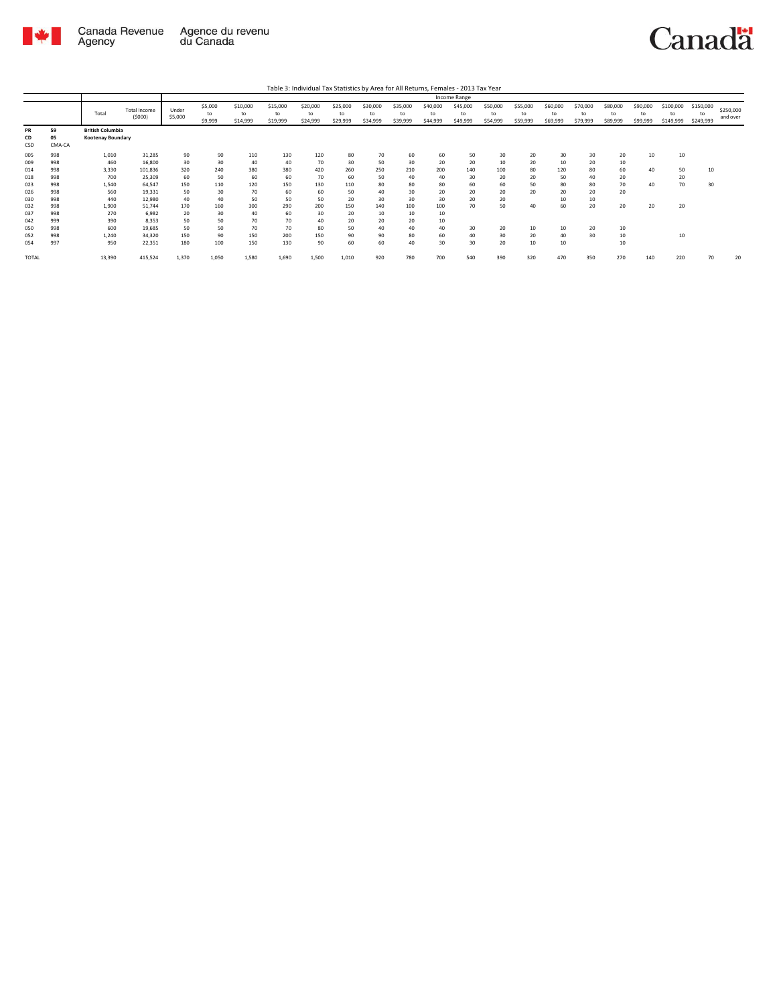

| Table 3: Individual Tax Statistics by Area for All Returns, Females - 2013 Tax Year |  |
|-------------------------------------------------------------------------------------|--|

|                                        |                                        |                                                     |                                                        |                                     |                                    |                                     |                                     |                                    |                                   |                                   |                                   |                                   | Income Range               |                            |                            |                            |                            |                            |                            |                              |                              |                       |
|----------------------------------------|----------------------------------------|-----------------------------------------------------|--------------------------------------------------------|-------------------------------------|------------------------------------|-------------------------------------|-------------------------------------|------------------------------------|-----------------------------------|-----------------------------------|-----------------------------------|-----------------------------------|----------------------------|----------------------------|----------------------------|----------------------------|----------------------------|----------------------------|----------------------------|------------------------------|------------------------------|-----------------------|
|                                        |                                        | Total                                               | Total Income<br>(5000)                                 | Under<br>\$5,000                    | \$5,000<br>to<br>\$9,999           | \$10,000<br>to<br>\$14,999          | \$15,000<br>to<br>\$19,999          | \$20,000<br>to<br>\$24,999         | \$25,000<br>to<br>\$29,999        | \$30,000<br>to<br>\$34,999        | \$35,000<br>to<br>\$39,999        | \$40,000<br>to<br>\$44,999        | \$45,000<br>to<br>\$49,999 | \$50,000<br>to<br>\$54,999 | \$55,000<br>to<br>\$59,999 | \$60,000<br>to<br>\$69,999 | \$70,000<br>to<br>\$79,999 | \$80,000<br>to<br>\$89,999 | \$90,000<br>to<br>\$99,999 | \$100,000<br>to<br>\$149,999 | \$150,000<br>to<br>\$249,999 | \$250,000<br>and over |
| PR<br>CD<br>CSD                        | 59<br>05<br>CMA-CA                     | <b>British Columbia</b><br><b>Kootenay Boundary</b> |                                                        |                                     |                                    |                                     |                                     |                                    |                                   |                                   |                                   |                                   |                            |                            |                            |                            |                            |                            |                            |                              |                              |                       |
| 005<br>009<br>014<br>018               | 998<br>998<br>998<br>998               | 1,010<br>460<br>3,330<br>700                        | 31,285<br>16,800<br>101,836<br>25,309                  | 90<br>30<br>320<br>60               | 90<br>30<br>240<br>50              | 110<br>40<br>380<br>60              | 130<br>40<br>380<br>60              | 120<br>70<br>420<br>70             | 80<br>30<br>260<br>60             | 70<br>50<br>250<br>50             | 60<br>30<br>210<br>40             | 60<br>20<br>200<br>40             | 50<br>20<br>140<br>30      | 30<br>10<br>100<br>20      | 20<br>20<br>80<br>20       | 30<br>10<br>120<br>50      | 30<br>20<br>80<br>40       | 20<br>10<br>60<br>20       | 10<br>40                   | 10<br>50<br>20               | 10                           |                       |
| 023<br>026<br>030                      | 998<br>998<br>998                      | 1,540<br>560<br>440                                 | 64.547<br>19,331<br>12,980                             | 150<br>50<br>40                     | 110<br>30<br>40                    | 120<br>70<br>50                     | 150<br>60<br>50                     | 130<br>60<br>50                    | 110<br>50<br>20                   | 80<br>40<br>30                    | 80<br>30<br>30                    | 80<br>20<br>30                    | 60<br>20<br>20             | 60<br>20<br>20             | 50<br>20                   | 80<br>20<br>10             | 80<br>20<br>10             | 70<br>20                   | 40                         | 70                           | 30                           |                       |
| 032<br>037<br>042<br>050<br>052<br>054 | 998<br>998<br>999<br>998<br>998<br>997 | 1,900<br>270<br>390<br>600<br>1.240<br>950          | 51.744<br>6.982<br>8.353<br>19,685<br>34.320<br>22,351 | 170<br>20<br>50<br>50<br>150<br>180 | 160<br>30<br>50<br>50<br>90<br>100 | 300<br>40<br>70<br>70<br>150<br>150 | 290<br>60<br>70<br>70<br>200<br>130 | 200<br>30<br>40<br>80<br>150<br>90 | 150<br>20<br>20<br>50<br>90<br>60 | 140<br>10<br>20<br>40<br>90<br>60 | 100<br>10<br>20<br>40<br>80<br>40 | 100<br>10<br>10<br>40<br>60<br>30 | 70<br>30<br>40<br>30       | 50<br>20<br>30<br>20       | 40<br>10<br>20<br>10       | 60<br>10<br>40<br>10       | 20<br>20<br>30             | 20<br>10<br>10<br>10       | 20                         | 20<br>10                     |                              |                       |
| TOTAL                                  |                                        | 13,390                                              | 415,524                                                | 1,370                               | 1,050                              | 1,580                               | 1,690                               | 1,500                              | 1,010                             | 920                               | 780                               | 700                               | 540                        | 390                        | 320                        | 470                        | 350                        | 270                        | 140                        | 220                          | 70                           | 20                    |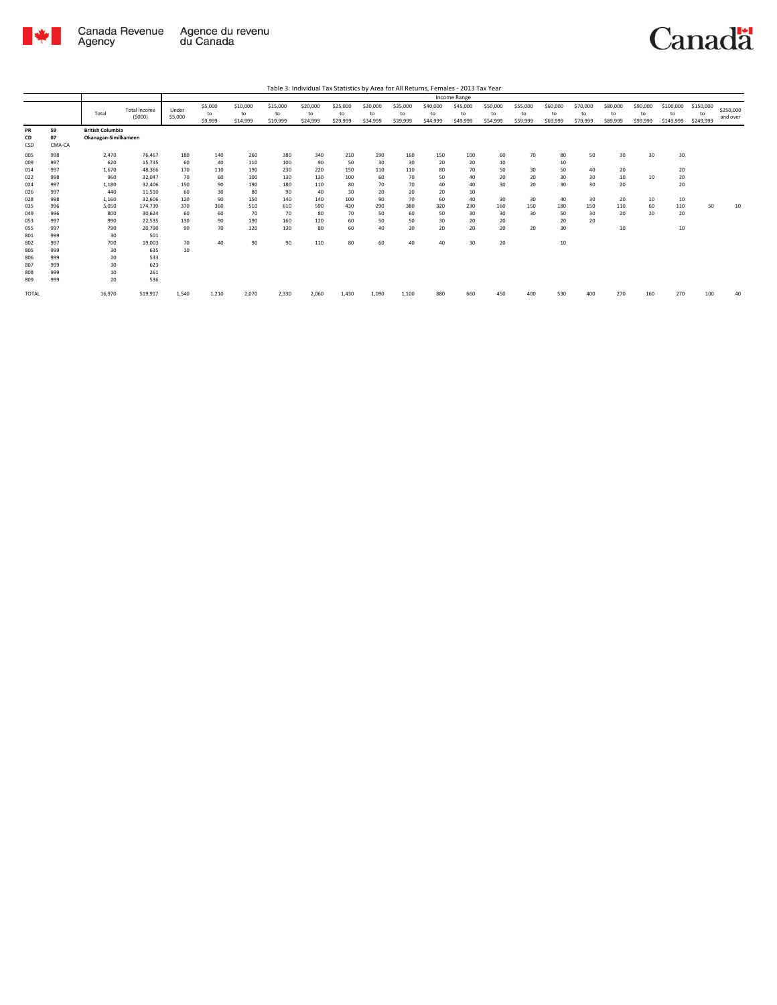

|                 |                    |                                                 |                               |                  |                          |                            |                            | Table 3: Individual Tax Statistics by Area for All Returns, Females - 2013 Tax Year |                            |                            |                            |                            | <b>Income Range</b>        |                            |                            |                            |                            |                            |                            |                              |                              |                       |
|-----------------|--------------------|-------------------------------------------------|-------------------------------|------------------|--------------------------|----------------------------|----------------------------|-------------------------------------------------------------------------------------|----------------------------|----------------------------|----------------------------|----------------------------|----------------------------|----------------------------|----------------------------|----------------------------|----------------------------|----------------------------|----------------------------|------------------------------|------------------------------|-----------------------|
|                 |                    | Total                                           | <b>Total Income</b><br>(5000) | Under<br>\$5,000 | \$5,000<br>to<br>\$9,999 | \$10,000<br>to<br>\$14,999 | \$15,000<br>to<br>\$19,999 | \$20,000<br>to<br>\$24,999                                                          | \$25,000<br>to<br>\$29,999 | \$30,000<br>to<br>\$34,999 | \$35,000<br>to<br>\$39,999 | \$40,000<br>to<br>\$44,999 | \$45,000<br>to<br>\$49,999 | \$50,000<br>to<br>\$54,999 | \$55,000<br>to<br>\$59,999 | \$60,000<br>to<br>\$69,999 | \$70,000<br>to<br>\$79,999 | \$80,000<br>to<br>\$89,999 | \$90,000<br>to<br>\$99,999 | \$100,000<br>to<br>\$149,999 | \$150,000<br>to<br>\$249,999 | \$250,000<br>and over |
| PR<br>CD<br>CSD | 59<br>07<br>CMA-CA | <b>British Columbia</b><br>Okanagan-Similkameen |                               |                  |                          |                            |                            |                                                                                     |                            |                            |                            |                            |                            |                            |                            |                            |                            |                            |                            |                              |                              |                       |
| 005             | 998                | 2,470                                           | 76.467                        | 180              | 140                      | 260                        | 380                        | 340                                                                                 | 210                        | 190                        | 160                        | 150                        | 100                        | 60                         | 70                         | 80                         | 50                         | 30                         | 30                         | 30                           |                              |                       |
| 009             | 997                | 620                                             | 15.735                        | 60               | 40                       | 110                        | 100                        | 90                                                                                  | 50                         | 30                         | 30                         | 20                         | 20                         | 10                         |                            | 10                         |                            |                            |                            |                              |                              |                       |
| 014             | 997                | 1.670                                           | 48.366                        | 170              | 110                      | 190                        | 230                        | 220                                                                                 | 150                        | 110                        | 110                        | 80                         | 70                         | 50                         | 30                         | 50                         | 40                         | 20                         |                            | 20                           |                              |                       |
| 022             | 998                | 960                                             | 32.047                        | 70               | 60                       | 100                        | 130                        | 130                                                                                 | 100                        | 60                         | 70                         | 50                         | 40                         | 20                         | 20                         | 30                         | 30                         | 10                         | 10                         | 20                           |                              |                       |
| 024             | 997                | 1,180                                           | 32,406                        | 150              | 90                       | 190                        | 180                        | 110                                                                                 | 80                         | 70                         | 70                         | 40                         | 40                         | 30                         | 20                         | 30                         | 30                         | 20                         |                            | 20                           |                              |                       |
| 026             | 997                | 440                                             | 11,510                        | 60               | 30                       | 80                         | 90                         | 40                                                                                  | 30                         | 20                         | 20                         | 20                         | 10                         |                            |                            |                            |                            |                            |                            |                              |                              |                       |
| 028             | 998                | 1,160                                           | 32.606                        | 120              | 90                       | 150                        | 140                        | 140                                                                                 | 100                        | 90                         | 70                         | 60                         | 40                         | 30                         | 30                         | 40                         | 30                         | 20                         | 10                         | 10                           |                              |                       |
| 035             | 996                | 5.050                                           | 174.739                       | 370              | 360                      | 510                        | 610                        | 590                                                                                 | 430                        | 290                        | 380                        | 320                        | 230                        | 160                        | 150                        | 180                        | 150                        | 110                        | 60                         | 110                          | 50                           | 10                    |
| 049             | 996                | 800                                             | 30,624                        | 60               | 60                       | 70                         | 70                         | 80                                                                                  | 70                         | 50                         | 60                         | 50                         | 30                         | 30                         | 30                         | 50                         | 30                         | 20                         | 20                         | 20                           |                              |                       |
| 053             | 997                | 990                                             | 22.535                        | 130              | 90                       | 190                        | 160                        | 120                                                                                 | 60                         | 50                         | 50                         | 30                         | 20                         | 20                         |                            | 20                         | 20                         |                            |                            |                              |                              |                       |
| 055             | 997                | 790                                             | 20,790                        | 90               | 70                       | 120                        | 130                        | 80                                                                                  | 60                         | 40                         | 30                         | 20                         | 20                         | 20                         | 20                         | 30                         |                            | 10                         |                            | 10                           |                              |                       |
| 801             | 999                | 30                                              | 501                           |                  |                          |                            |                            |                                                                                     |                            |                            |                            |                            |                            |                            |                            |                            |                            |                            |                            |                              |                              |                       |
| 802             | 997                | 700                                             | 19,003                        | 70               | 40                       | 90                         | 90                         | 110                                                                                 | 80                         | 60                         | 40                         | 40                         | 30                         | 20                         |                            | 10                         |                            |                            |                            |                              |                              |                       |
| 805             | 999                | 30                                              | 635                           | 10               |                          |                            |                            |                                                                                     |                            |                            |                            |                            |                            |                            |                            |                            |                            |                            |                            |                              |                              |                       |
| 806             | 999                | 20                                              | 533                           |                  |                          |                            |                            |                                                                                     |                            |                            |                            |                            |                            |                            |                            |                            |                            |                            |                            |                              |                              |                       |
| 807             | 999                | 30                                              | 623                           |                  |                          |                            |                            |                                                                                     |                            |                            |                            |                            |                            |                            |                            |                            |                            |                            |                            |                              |                              |                       |
| 808<br>809      | 999<br>999         | 10<br>20                                        | 261<br>536                    |                  |                          |                            |                            |                                                                                     |                            |                            |                            |                            |                            |                            |                            |                            |                            |                            |                            |                              |                              |                       |
|                 |                    |                                                 |                               |                  |                          |                            |                            |                                                                                     |                            |                            |                            |                            |                            |                            |                            |                            |                            |                            |                            |                              |                              |                       |
| TOTAL           |                    | 16,970                                          | 519,917                       | 1,540            | 1,210                    | 2,070                      | 2.330                      | 2,060                                                                               | 1,430                      | 1.090                      | 1,100                      | 880                        | 660                        | 450                        | 400                        | 530                        | 400                        | 270                        | 160                        | 270                          | 100                          | 40                    |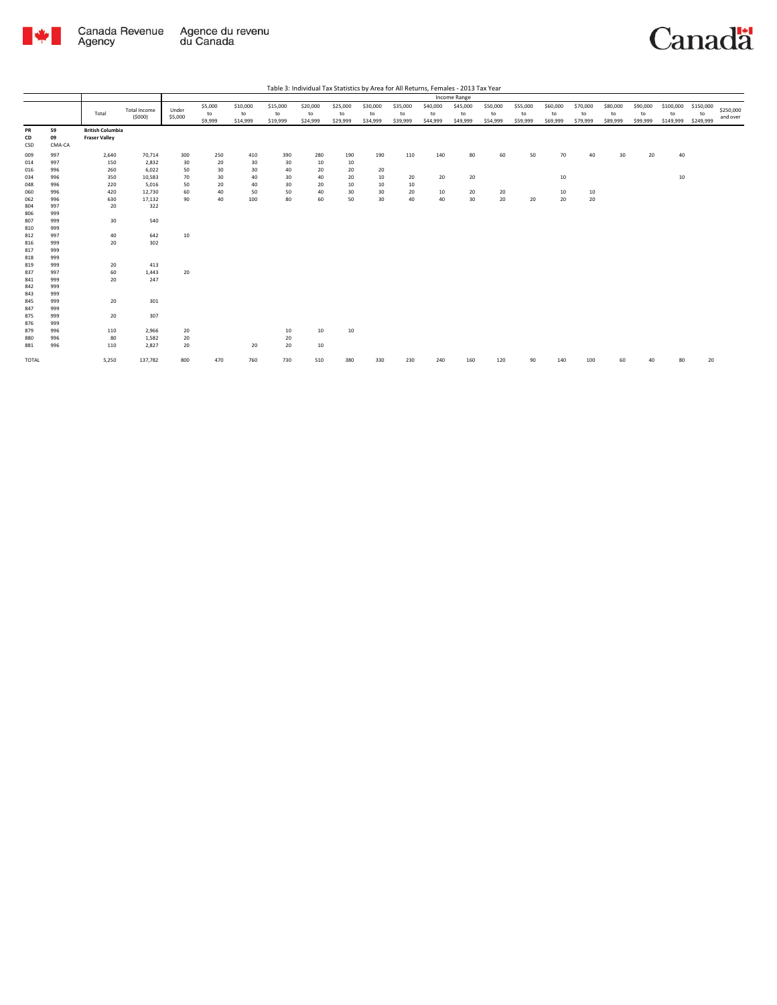

|                   |                    |                                                 |                               |                  |                          |                            |                            | Table 3: Individual Tax Statistics by Area for All Returns, Females - 2013 Tax Year |                            |                            |                            |                            |                            |                            |                            |                            |                            |                            |                            |                              |                              |                       |
|-------------------|--------------------|-------------------------------------------------|-------------------------------|------------------|--------------------------|----------------------------|----------------------------|-------------------------------------------------------------------------------------|----------------------------|----------------------------|----------------------------|----------------------------|----------------------------|----------------------------|----------------------------|----------------------------|----------------------------|----------------------------|----------------------------|------------------------------|------------------------------|-----------------------|
|                   |                    |                                                 |                               |                  |                          |                            |                            |                                                                                     |                            |                            |                            |                            | Income Range               |                            |                            |                            |                            |                            |                            |                              |                              |                       |
|                   |                    | Total                                           | <b>Total Income</b><br>(5000) | Under<br>\$5,000 | \$5,000<br>to<br>\$9,999 | \$10,000<br>to<br>\$14,999 | \$15,000<br>to<br>\$19,999 | \$20,000<br>to<br>\$24,999                                                          | \$25,000<br>to<br>\$29,999 | \$30,000<br>to<br>\$34,999 | \$35,000<br>to<br>\$39,999 | \$40,000<br>to<br>\$44,999 | \$45,000<br>to<br>\$49,999 | \$50,000<br>to<br>\$54,999 | \$55,000<br>to<br>\$59,999 | \$60,000<br>to<br>\$69,999 | \$70,000<br>to<br>\$79,999 | \$80,000<br>to<br>\$89,999 | \$90,000<br>to<br>\$99,999 | \$100,000<br>to<br>\$149,999 | \$150,000<br>to<br>\$249,999 | \$250,000<br>and over |
| PR<br>CD<br>CSD   | 59<br>09<br>CMA-CA | <b>British Columbia</b><br><b>Fraser Valley</b> |                               |                  |                          |                            |                            |                                                                                     |                            |                            |                            |                            |                            |                            |                            |                            |                            |                            |                            |                              |                              |                       |
| 009<br>014<br>016 | 997<br>997<br>996  | 2,640<br>150<br>260                             | 70,714<br>2,832<br>6,022      | 300<br>30<br>50  | 250<br>20<br>30          | 410<br>30<br>30            | 390<br>30<br>40            | 280<br>10<br>20                                                                     | 190<br>10<br>20            | 190<br>20                  | 110                        | 140                        | 80                         | 60                         | 50                         | 70                         | 40                         | 30                         | 20                         | 40                           |                              |                       |
| 034<br>048<br>060 | 996<br>996<br>996  | 350<br>220<br>420                               | 10,583<br>5,016<br>12,730     | 70<br>50<br>60   | 30<br>20<br>40           | 40<br>40<br>50             | 30<br>30<br>50             | 40<br>20<br>40                                                                      | 20<br>10<br>30             | 10<br>10<br>30             | 20<br>10<br>20             | 20<br>10                   | 20<br>20                   | 20                         |                            | 10<br>10                   | 10                         |                            |                            | 10                           |                              |                       |
| 062<br>804        | 996<br>997         | 630<br>20                                       | 17,132<br>322                 | 90               | 40                       | 100                        | 80                         | 60                                                                                  | 50                         | 30                         | 40                         | 40                         | 30                         | $20\,$                     | 20                         | 20                         | 20                         |                            |                            |                              |                              |                       |
| 806<br>807<br>810 | 999<br>999<br>999  | 30                                              | 540                           |                  |                          |                            |                            |                                                                                     |                            |                            |                            |                            |                            |                            |                            |                            |                            |                            |                            |                              |                              |                       |
| 812<br>816<br>817 | 997<br>999<br>999  | 40<br>20                                        | 642<br>302                    | 10               |                          |                            |                            |                                                                                     |                            |                            |                            |                            |                            |                            |                            |                            |                            |                            |                            |                              |                              |                       |
| 818<br>819<br>837 | 999<br>999<br>997  | 20<br>60                                        | 413<br>1,443                  | 20               |                          |                            |                            |                                                                                     |                            |                            |                            |                            |                            |                            |                            |                            |                            |                            |                            |                              |                              |                       |
| 841<br>842<br>843 | 999<br>999<br>999  | 20                                              | 247                           |                  |                          |                            |                            |                                                                                     |                            |                            |                            |                            |                            |                            |                            |                            |                            |                            |                            |                              |                              |                       |
| 845<br>847<br>875 | 999<br>999<br>999  | 20<br>20                                        | 301<br>307                    |                  |                          |                            |                            |                                                                                     |                            |                            |                            |                            |                            |                            |                            |                            |                            |                            |                            |                              |                              |                       |
| 876<br>879        | 999<br>996         | 110                                             | 2,966                         | 20               |                          |                            | 10                         | 10                                                                                  | 10                         |                            |                            |                            |                            |                            |                            |                            |                            |                            |                            |                              |                              |                       |
| 880<br>881        | 996<br>996         | 80<br>110                                       | 1,582<br>2,827                | 20<br>20         |                          | 20                         | 20<br>20                   | 10                                                                                  |                            |                            |                            |                            |                            |                            |                            |                            |                            |                            |                            |                              |                              |                       |
| TOTAL             |                    | 5,250                                           | 137,782                       | 800              | 470                      | 760                        | 730                        | 510                                                                                 | 380                        | 330                        | 230                        | 240                        | 160                        | 120                        | 90                         | 140                        | 100                        | 60                         | л∩                         | 80                           | 20                           |                       |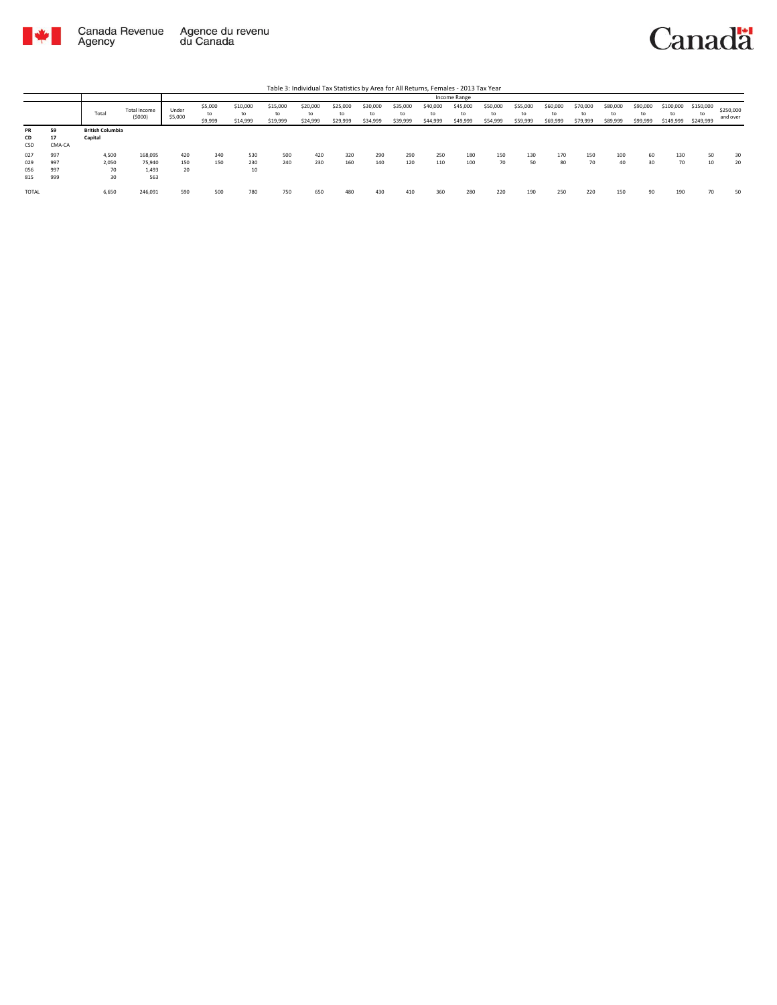

|                          |                          |                                    |                                   |                  |                          |                            |                            | Table 3: Individual Tax Statistics by Area for All Returns, Females - 2013 Tax Year |                            |                            |                            |                            |                            |                            |                            |                            |                            |                            |                            |                        |                              |                       |
|--------------------------|--------------------------|------------------------------------|-----------------------------------|------------------|--------------------------|----------------------------|----------------------------|-------------------------------------------------------------------------------------|----------------------------|----------------------------|----------------------------|----------------------------|----------------------------|----------------------------|----------------------------|----------------------------|----------------------------|----------------------------|----------------------------|------------------------|------------------------------|-----------------------|
|                          |                          |                                    |                                   |                  |                          |                            |                            |                                                                                     |                            |                            |                            |                            | Income Range               |                            |                            |                            |                            |                            |                            |                        |                              |                       |
|                          |                          | Total                              | <b>Total Income</b><br>(5000)     | Under<br>\$5,000 | \$5,000<br>to<br>\$9,999 | \$10,000<br>to<br>\$14,999 | \$15,000<br>to<br>\$19,999 | \$20,000<br>to<br>\$24,999                                                          | \$25,000<br>to<br>\$29,999 | \$30,000<br>to<br>\$34,999 | \$35,000<br>to<br>\$39,999 | \$40,000<br>to<br>\$44,999 | \$45,000<br>to<br>\$49,999 | \$50,000<br>to<br>\$54,999 | \$55,000<br>to<br>\$59,999 | \$60,000<br>to<br>\$69,999 | \$70,000<br>to<br>\$79,999 | \$80,000<br>to<br>\$89,999 | \$90,000<br>to<br>\$99,999 | \$100,000<br>\$149,999 | \$150,000<br>to<br>\$249,999 | \$250,000<br>and over |
| <b>PR</b><br>CD<br>CSD   | 59<br>17<br>CMA-CA       | <b>British Columbia</b><br>Capital |                                   |                  |                          |                            |                            |                                                                                     |                            |                            |                            |                            |                            |                            |                            |                            |                            |                            |                            |                        |                              |                       |
| 027<br>029<br>056<br>815 | 997<br>997<br>997<br>999 | 4,500<br>2,050<br>70<br>30         | 168,095<br>75.940<br>1.493<br>563 | 420<br>150<br>20 | 340<br>150               | 530<br>230<br>10           | 500<br>240                 | 420<br>230                                                                          | 320<br>160                 | 290<br>140                 | 290<br>120                 | 250<br>110                 | 180<br>100                 | 150<br>70                  | 130<br>50                  | 170<br>80                  | 150<br>70                  | 100<br>40                  | 60<br>30                   | 130<br>70              | 50                           | 30<br>20              |
| TOTAL                    |                          | 6,650                              | 246,091                           | 590              | 500                      | 780                        | 750                        | 650                                                                                 | 480                        | 430                        | 410                        | 360                        | 280                        | 220                        | 190                        | 250                        | 220                        | 150                        | 90                         | 190                    | 70                           | 50                    |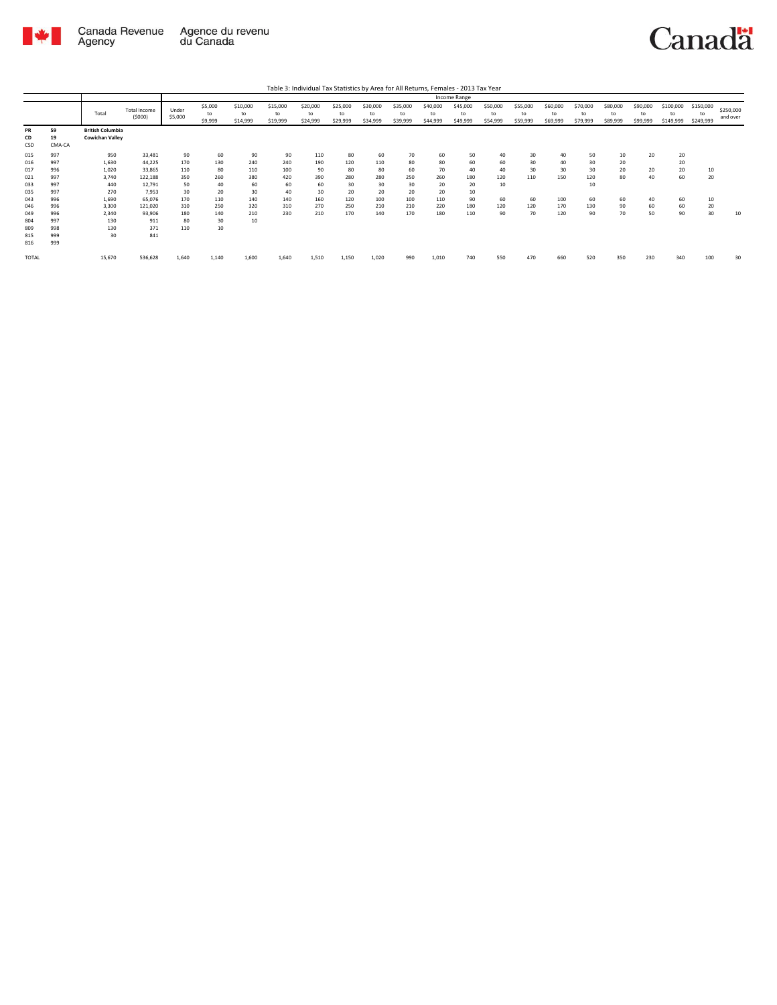

|                                                             |                                                             |                                                                         |                                                                                         |                                                          |                                                         |                                                          |                                                          | Table 3: Individual Tax Statistics by Area for All Returns, Females - 2013 Tax Year |                                                         |                                                         |                                                        |                                                        |                                                       |                                                |                                          |                                            |                                                |                                        |                                  |                                        |                              |                       |
|-------------------------------------------------------------|-------------------------------------------------------------|-------------------------------------------------------------------------|-----------------------------------------------------------------------------------------|----------------------------------------------------------|---------------------------------------------------------|----------------------------------------------------------|----------------------------------------------------------|-------------------------------------------------------------------------------------|---------------------------------------------------------|---------------------------------------------------------|--------------------------------------------------------|--------------------------------------------------------|-------------------------------------------------------|------------------------------------------------|------------------------------------------|--------------------------------------------|------------------------------------------------|----------------------------------------|----------------------------------|----------------------------------------|------------------------------|-----------------------|
|                                                             |                                                             |                                                                         |                                                                                         |                                                          |                                                         |                                                          |                                                          |                                                                                     |                                                         |                                                         |                                                        |                                                        | Income Range                                          |                                                |                                          |                                            |                                                |                                        |                                  |                                        |                              |                       |
|                                                             |                                                             | Total                                                                   | <b>Total Income</b><br>(5000)                                                           | Under<br>\$5,000                                         | \$5,000<br>to<br>\$9,999                                | \$10,000<br>to<br>\$14,999                               | \$15,000<br>to<br>\$19,999                               | \$20,000<br>to<br>\$24,999                                                          | \$25,000<br>to<br>\$29,999                              | \$30,000<br>to<br>\$34,999                              | \$35,000<br>to<br>\$39,999                             | \$40,000<br>to<br>\$44,999                             | \$45,000<br>to<br>\$49,999                            | \$50,000<br>to<br>\$54,999                     | \$55,000<br>to<br>\$59,999               | \$60,000<br>to<br>\$69,999                 | \$70,000<br>to<br>\$79,999                     | \$80,000<br>to<br>\$89,999             | \$90,000<br>to<br>\$99,999       | \$100,000<br>to<br>\$149,999           | \$150,000<br>to<br>\$249,999 | \$250,000<br>and over |
| PR<br>CD<br>CSD                                             | 59<br>19<br>CMA-CA                                          | <b>British Columbia</b><br><b>Cowichan Valley</b>                       |                                                                                         |                                                          |                                                         |                                                          |                                                          |                                                                                     |                                                         |                                                         |                                                        |                                                        |                                                       |                                                |                                          |                                            |                                                |                                        |                                  |                                        |                              |                       |
| 015<br>016<br>017<br>021<br>033<br>035<br>043<br>046<br>049 | 997<br>997<br>996<br>997<br>997<br>997<br>996<br>996<br>996 | 950<br>1.630<br>1,020<br>3.740<br>440<br>270<br>1.690<br>3.300<br>2.340 | 33,481<br>44.225<br>33,865<br>122,188<br>12.791<br>7.953<br>65,076<br>121.020<br>93.906 | 90<br>170<br>110<br>350<br>50<br>30<br>170<br>310<br>180 | 60<br>130<br>80<br>260<br>40<br>20<br>110<br>250<br>140 | 90<br>240<br>110<br>380<br>60<br>30<br>140<br>320<br>210 | 90<br>240<br>100<br>420<br>60<br>40<br>140<br>310<br>230 | 110<br>190<br>90<br>390<br>60<br>30<br>160<br>270<br>210                            | 80<br>120<br>80<br>280<br>30<br>20<br>120<br>250<br>170 | 60<br>110<br>80<br>280<br>30<br>20<br>100<br>210<br>140 | 70<br>80<br>60<br>250<br>30<br>20<br>100<br>210<br>170 | 60<br>80<br>70<br>260<br>20<br>20<br>110<br>220<br>180 | 50<br>60<br>40<br>180<br>20<br>10<br>90<br>180<br>110 | 40<br>60<br>40<br>120<br>10<br>60<br>120<br>90 | 30<br>30<br>30<br>110<br>60<br>120<br>70 | 40<br>40<br>30<br>150<br>100<br>170<br>120 | 50<br>30<br>30<br>120<br>10<br>60<br>130<br>90 | 10<br>20<br>20<br>80<br>60<br>90<br>70 | 20<br>20<br>40<br>40<br>60<br>50 | 20<br>20<br>20<br>60<br>60<br>60<br>90 | 10<br>20<br>10<br>20<br>30   | 10                    |
| 804<br>809<br>815<br>816<br><b>TOTAL</b>                    | 997<br>998<br>999<br>999                                    | 130<br>130<br>30<br>15,670                                              | 911<br>371<br>841<br>536,628                                                            | 80<br>110<br>1.640                                       | 30<br>10<br>1.140                                       | 10<br>1.600                                              | 1.640                                                    | 1,510                                                                               | 1,150                                                   | 1,020                                                   | 990                                                    | 1,010                                                  | 740                                                   | 550                                            | 470                                      | 660                                        | 520                                            | 350                                    | 230                              | 340                                    | 100                          | 30                    |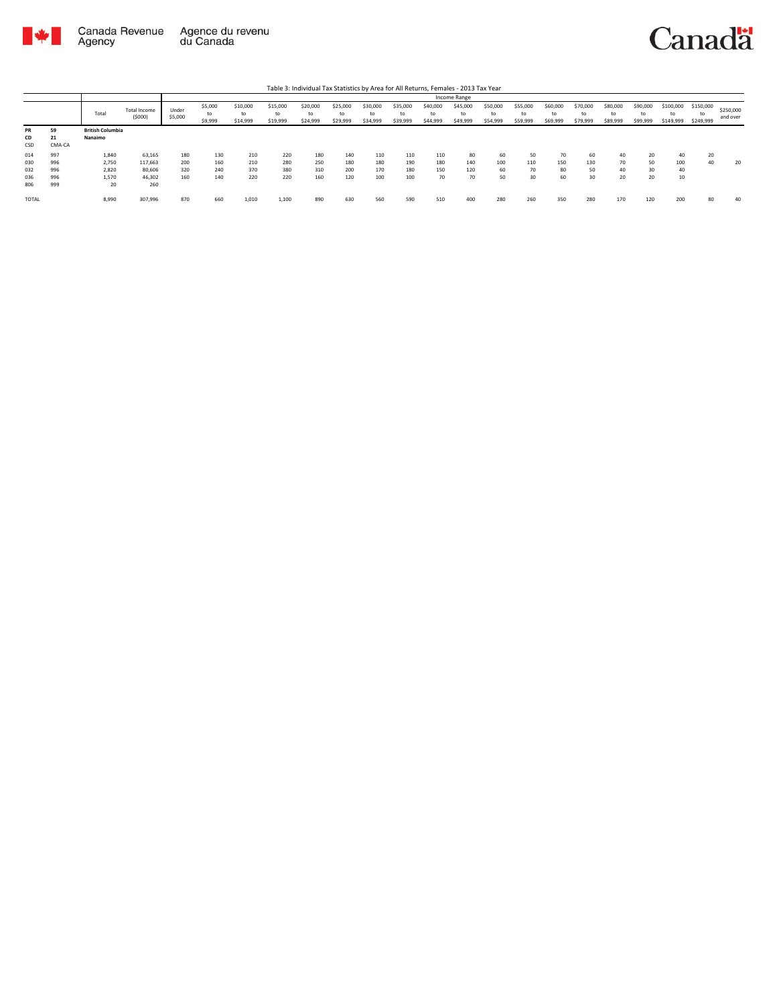

|                                 |                                 |                                        |                                              |                          |                          |                            |                            | Table 3: Individual Tax Statistics by Area for All Returns, Females - 2013 Tax Year |                            |                            |                            |                            |                            |                            |                            |                            |                            |                            |                            |                        |                              |                       |
|---------------------------------|---------------------------------|----------------------------------------|----------------------------------------------|--------------------------|--------------------------|----------------------------|----------------------------|-------------------------------------------------------------------------------------|----------------------------|----------------------------|----------------------------|----------------------------|----------------------------|----------------------------|----------------------------|----------------------------|----------------------------|----------------------------|----------------------------|------------------------|------------------------------|-----------------------|
|                                 |                                 |                                        |                                              |                          |                          |                            |                            |                                                                                     |                            |                            |                            |                            | Income Range               |                            |                            |                            |                            |                            |                            |                        |                              |                       |
|                                 |                                 | Total                                  | Total Income<br>(5000)                       | Under<br>\$5,000         | \$5,000<br>\$9,999       | \$10,000<br>to<br>\$14,999 | \$15,000<br>to<br>\$19,999 | \$20,000<br>to<br>\$24,999                                                          | \$25,000<br>to<br>\$29,999 | \$30,000<br>to<br>\$34,999 | \$35,000<br>to<br>\$39,999 | \$40,000<br>to<br>\$44,999 | \$45,000<br>to<br>\$49,999 | \$50,000<br>to<br>\$54,999 | \$55,000<br>to<br>\$59,999 | \$60,000<br>to<br>\$69,999 | \$70,000<br>to<br>\$79,999 | \$80,000<br>to<br>\$89,999 | \$90,000<br>to<br>\$99,999 | \$100,000<br>\$149,999 | \$150,000<br>to<br>\$249,999 | \$250,000<br>and over |
| PR<br>CD<br>CSD                 | 59<br>21<br>CMA-CA              | <b>British Columbia</b><br>Nanaimo     |                                              |                          |                          |                            |                            |                                                                                     |                            |                            |                            |                            |                            |                            |                            |                            |                            |                            |                            |                        |                              |                       |
| 014<br>030<br>032<br>036<br>806 | 997<br>996<br>996<br>996<br>999 | 1,840<br>2.750<br>2,820<br>1,570<br>20 | 63,165<br>117.663<br>80,606<br>46,302<br>260 | 180<br>200<br>320<br>160 | 130<br>160<br>240<br>140 | 210<br>210<br>370<br>220   | 220<br>280<br>380<br>220   | 180<br>250<br>310<br>160                                                            | 140<br>180<br>200<br>120   | 110<br>180<br>170<br>100   | 110<br>190<br>180<br>100   | 110<br>180<br>150<br>70    | 80<br>140<br>120<br>70     | 60<br>100<br>60<br>50      | 50<br>110<br>70<br>30      | 70<br>150<br>80<br>60      | 60<br>130<br>50<br>30      | 40<br>70<br>40<br>20       | 20<br>50<br>30<br>20       | 40<br>100<br>40<br>10  | 20<br>40                     | 20                    |
| TOTAL                           |                                 | 8,990                                  | 307,996                                      | 870                      | 660                      | 1,010                      | 1.100                      | 890                                                                                 | 630                        | 560                        | 590                        | 510                        | 400                        | 280                        | 260                        | 350                        | 280                        | 170                        | 120                        | 200                    | 80                           | 40                    |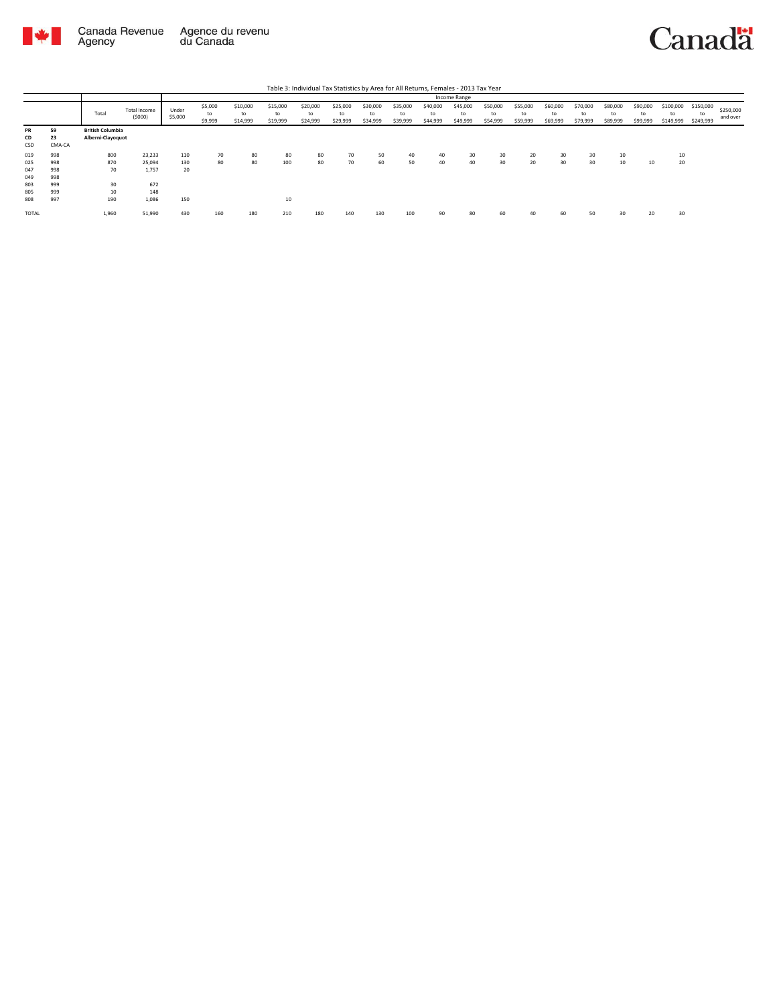

|                 | Table 3: Individual Tax Statistics by Area for All Returns, Females - 2013 Tax Year<br>Income Range |                                              |                               |                  |                          |                            |                            |                            |                            |                            |                            |                            |                            |                            |                            |                            |                            |                            |                            |                              |                              |                       |
|-----------------|-----------------------------------------------------------------------------------------------------|----------------------------------------------|-------------------------------|------------------|--------------------------|----------------------------|----------------------------|----------------------------|----------------------------|----------------------------|----------------------------|----------------------------|----------------------------|----------------------------|----------------------------|----------------------------|----------------------------|----------------------------|----------------------------|------------------------------|------------------------------|-----------------------|
|                 |                                                                                                     |                                              |                               |                  |                          |                            |                            |                            |                            |                            |                            |                            |                            |                            |                            |                            |                            |                            |                            |                              |                              |                       |
|                 |                                                                                                     | Total                                        | <b>Total Income</b><br>(5000) | Under<br>\$5,000 | \$5,000<br>to<br>\$9,999 | \$10,000<br>to<br>\$14,999 | \$15,000<br>to<br>\$19,999 | \$20,000<br>to<br>\$24,999 | \$25,000<br>to<br>\$29,999 | \$30,000<br>to<br>\$34,999 | \$35,000<br>to<br>\$39,999 | \$40,000<br>to<br>\$44,999 | \$45,000<br>to<br>\$49,999 | \$50,000<br>to<br>\$54,999 | \$55,000<br>to<br>\$59,999 | \$60,000<br>to<br>\$69,999 | \$70,000<br>to<br>\$79,999 | \$80,000<br>to<br>\$89,999 | \$90,000<br>to<br>\$99,999 | \$100,000<br>to<br>\$149,999 | \$150,000<br>to<br>\$249,999 | \$250,000<br>and over |
| PR<br>CD<br>CSD | 59<br>23<br>CMA-CA                                                                                  | <b>British Columbia</b><br>Alberni-Clayoquot |                               |                  |                          |                            |                            |                            |                            |                            |                            |                            |                            |                            |                            |                            |                            |                            |                            |                              |                              |                       |
| 019             | 998                                                                                                 | 800                                          | 23,233                        | 110              | 70                       | 80                         | 80                         | 80                         | 70                         | 50                         | 40                         | 40                         | 30                         | 30                         | 20                         | 30                         | 30                         | 10                         |                            | 10                           |                              |                       |
| 025             | 998                                                                                                 | 870                                          | 25.094                        | 130              | 80                       | 80                         | 100                        | 80                         | 70                         | 60                         | 50                         | 40                         | 40                         | 30                         | 20                         | 30                         | 30                         | 10                         | 10                         | 20                           |                              |                       |
| 047             | 998                                                                                                 | 70                                           | 1,757                         | 20               |                          |                            |                            |                            |                            |                            |                            |                            |                            |                            |                            |                            |                            |                            |                            |                              |                              |                       |
| 049             | 998                                                                                                 |                                              |                               |                  |                          |                            |                            |                            |                            |                            |                            |                            |                            |                            |                            |                            |                            |                            |                            |                              |                              |                       |
| 803             | 999                                                                                                 | 30                                           | 672                           |                  |                          |                            |                            |                            |                            |                            |                            |                            |                            |                            |                            |                            |                            |                            |                            |                              |                              |                       |
| 805             | 999                                                                                                 | 10                                           | 148                           |                  |                          |                            |                            |                            |                            |                            |                            |                            |                            |                            |                            |                            |                            |                            |                            |                              |                              |                       |
| 808             | 997                                                                                                 | 190                                          | 1.086                         | 150              |                          |                            | 10                         |                            |                            |                            |                            |                            |                            |                            |                            |                            |                            |                            |                            |                              |                              |                       |
| <b>TOTAL</b>    |                                                                                                     | 1,960                                        | 51,990                        | 430              | 160                      | 180                        | 210                        | 180                        | 140                        | 130                        | 100                        | 90                         | 80                         | 60                         | 40                         | 60                         | 50                         | 30                         | 20                         | 30                           |                              |                       |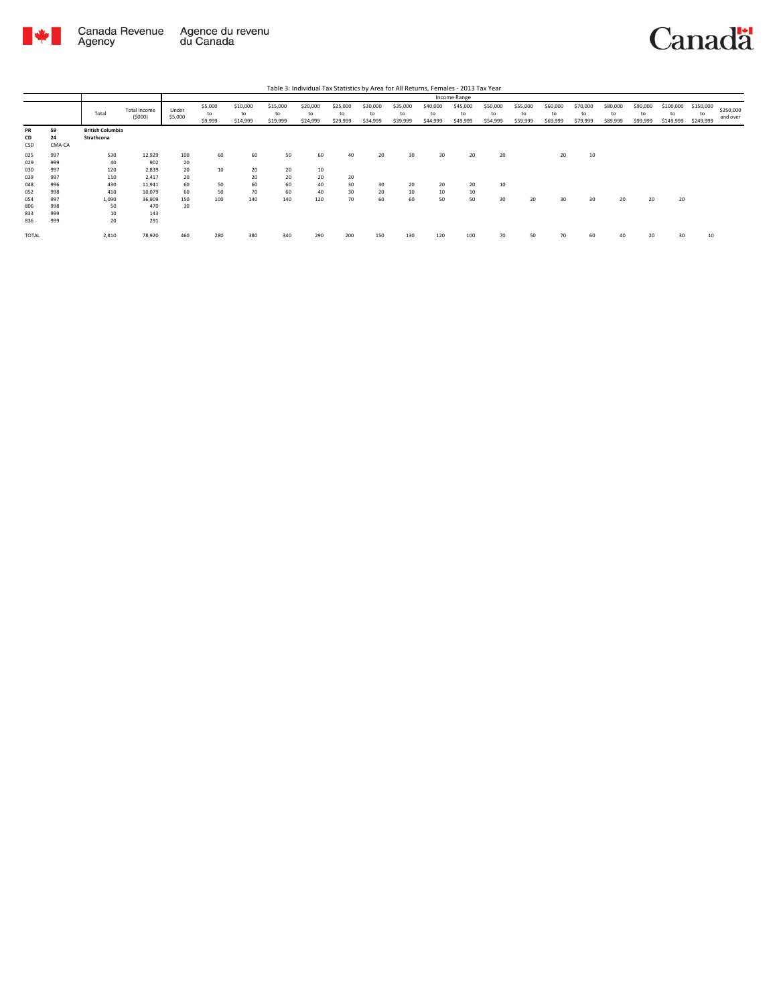

|                        |                    |                                       |                        |                  |                          |                            |                            | Table 3: Individual Tax Statistics by Area for All Returns, Females - 2013 Tax Year |                            |                            |                            |                            |                            |                            |                            |                            |                            |                            |                            |                              |                              |                       |
|------------------------|--------------------|---------------------------------------|------------------------|------------------|--------------------------|----------------------------|----------------------------|-------------------------------------------------------------------------------------|----------------------------|----------------------------|----------------------------|----------------------------|----------------------------|----------------------------|----------------------------|----------------------------|----------------------------|----------------------------|----------------------------|------------------------------|------------------------------|-----------------------|
|                        |                    |                                       |                        |                  |                          |                            |                            |                                                                                     |                            |                            |                            |                            | Income Range               |                            |                            |                            |                            |                            |                            |                              |                              |                       |
|                        |                    | Total                                 | Total Income<br>(5000) | Under<br>\$5,000 | \$5,000<br>to<br>\$9,999 | \$10,000<br>to<br>\$14,999 | \$15,000<br>to<br>\$19,999 | \$20,000<br>to<br>\$24,999                                                          | \$25,000<br>to<br>\$29,999 | \$30,000<br>to<br>\$34,999 | \$35,000<br>to<br>\$39,999 | \$40,000<br>to<br>\$44,999 | \$45,000<br>to<br>\$49,999 | \$50,000<br>to<br>\$54,999 | \$55,000<br>to<br>\$59,999 | \$60,000<br>to<br>\$69,999 | \$70,000<br>to<br>\$79,999 | \$80,000<br>to<br>\$89,999 | \$90,000<br>to<br>\$99,999 | \$100,000<br>to<br>\$149,999 | \$150,000<br>to<br>\$249,999 | \$250,000<br>and over |
| <b>PR</b><br>CD<br>CSD | 59<br>24<br>CMA-CA | <b>British Columbia</b><br>Strathcona |                        |                  |                          |                            |                            |                                                                                     |                            |                            |                            |                            |                            |                            |                            |                            |                            |                            |                            |                              |                              |                       |
| 025<br>029             | 997<br>999         | 530<br>40                             | 12,929<br>902          | 100<br>20        | 60                       | 60                         | 50                         | 60                                                                                  | 40                         | 20                         | 30                         | 30                         | 20                         | 20                         |                            | 20                         | 10                         |                            |                            |                              |                              |                       |
| 030<br>039             | 997<br>997         | 120<br>110                            | 2.839<br>2.417         | 20<br>20         | 10                       | 20<br>20                   | 20<br>20                   | 10<br>20                                                                            | 20                         |                            |                            |                            |                            |                            |                            |                            |                            |                            |                            |                              |                              |                       |
| 048<br>052             | 996<br>998         | 430<br>410                            | 11,941<br>10,079       | 60<br>60         | 50<br>50                 | 60<br>70                   | 60<br>60                   | 40<br>40                                                                            | 30<br>30                   | 30<br>20                   | 20<br>10                   | 20<br>$10\,$               | 20<br>10                   | 10                         |                            |                            |                            |                            |                            |                              |                              |                       |
| 054<br>806             | 997<br>998<br>999  | 1,090<br>50                           | 36,909<br>470          | 150<br>30        | 100                      | 140                        | 140                        | 120                                                                                 | 70                         | 60                         | 60                         | 50                         | 50                         | 30                         | 20                         | 30                         | 30                         | 20                         | 20                         | 20                           |                              |                       |
| 833<br>836             | 999                | 10<br>20                              | 143<br>291             |                  |                          |                            |                            |                                                                                     |                            |                            |                            |                            |                            |                            |                            |                            |                            |                            |                            |                              |                              |                       |
| TOTAL                  |                    | 2,810                                 | 78,920                 | 460              | 280                      | 380                        | 340                        | 290                                                                                 | 200                        | 150                        | 130                        | 120                        | 100                        | 70                         | 50                         | 70                         | 60                         | 40                         | 20                         | 30                           | 10                           |                       |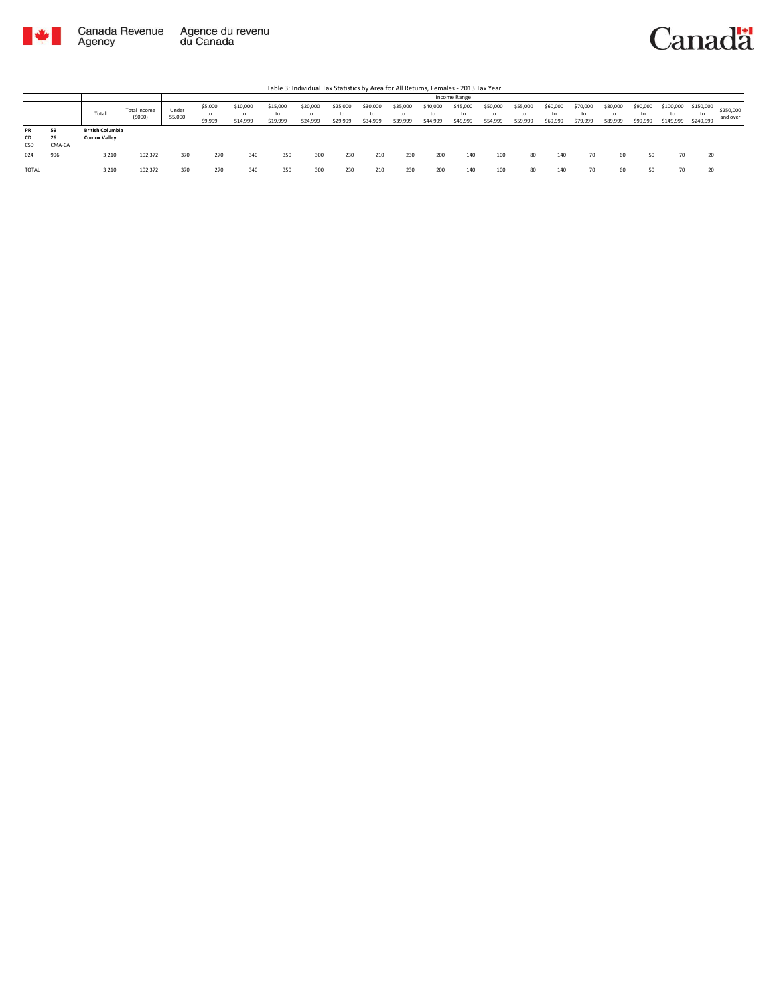



|                        |                    |                                                  |         |                  |                          |                            |                            |                            |                            |                            |                            |                            | Income Range               |                            |                            |                            |                            |                      |                            |                              |                              |                       |
|------------------------|--------------------|--------------------------------------------------|---------|------------------|--------------------------|----------------------------|----------------------------|----------------------------|----------------------------|----------------------------|----------------------------|----------------------------|----------------------------|----------------------------|----------------------------|----------------------------|----------------------------|----------------------|----------------------------|------------------------------|------------------------------|-----------------------|
|                        |                    | Total Income<br>Total<br><b>British Columbia</b> |         | Under<br>\$5,000 | \$5,000<br>to<br>\$9,999 | \$10,000<br>to<br>\$14,999 | \$15,000<br>to<br>\$19,999 | \$20,000<br>to<br>\$24,999 | \$25,000<br>to<br>\$29,999 | \$30,000<br>to<br>\$34,999 | \$35,000<br>to<br>\$39,999 | \$40,000<br>to<br>\$44,999 | \$45,000<br>to<br>\$49,999 | \$50,000<br>to<br>\$54,999 | \$55,000<br>to<br>\$59,999 | \$60,000<br>to<br>\$69,999 | \$70,000<br>to<br>\$79,999 | \$80,000<br>\$89,999 | \$90,000<br>to<br>\$99,999 | \$100,000<br>to<br>\$149,999 | \$150,000<br>to<br>\$249,999 | \$250,000<br>and over |
| <b>PR</b><br>CD<br>CSD | 59<br>26<br>CMA-CA | <b>Comox Valley</b>                              |         |                  |                          |                            |                            |                            |                            |                            |                            |                            |                            |                            |                            |                            |                            |                      |                            |                              |                              |                       |
| 024                    | 996                | 3,210                                            | 102.372 | 370              | 270                      | 340                        | 350                        | 300                        | 230                        | 210                        | 230                        | 200                        | 140                        | 100                        | 80                         | 140                        | 70                         | 60                   | 50                         | 70                           | 20                           |                       |
| TOTAL                  |                    | 3,210                                            | 102,372 | 370              | 270                      | 340                        | 350                        | 300                        | 230                        | 210                        | 230                        | 200                        | 140                        | 100                        | 80                         | 140                        | 70                         | 60                   |                            | 70                           | 20                           |                       |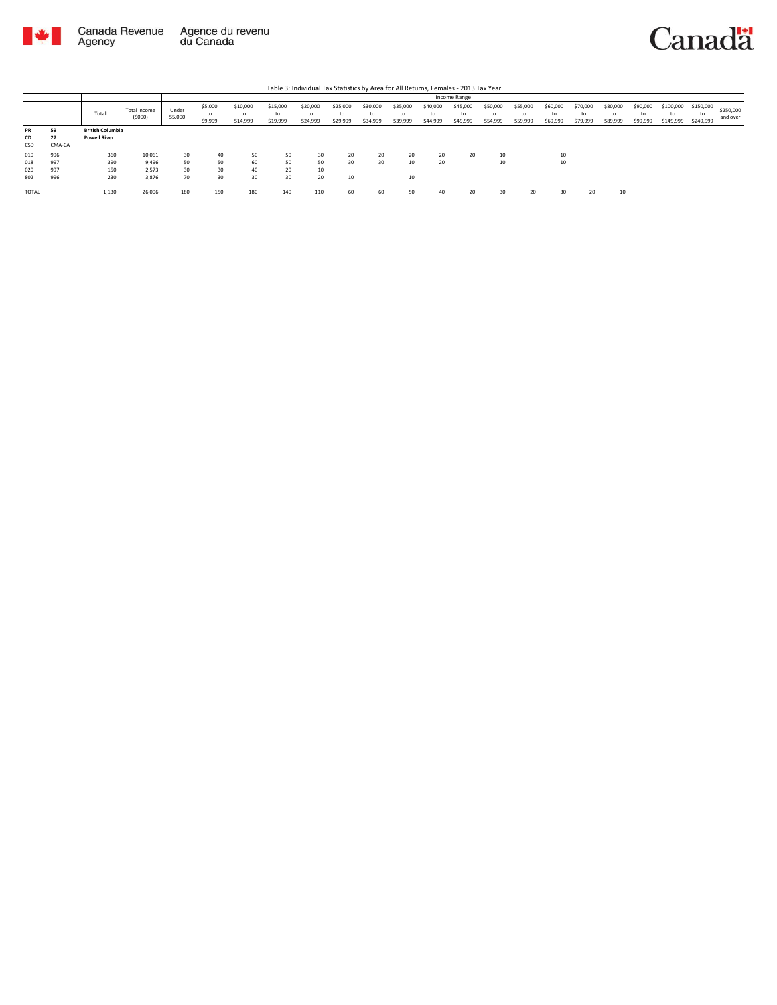

|       |        |                         |                        |                  |                          |                            |                            |                            |                            |                            |                            |                            | Income Range               |                            |                            |                            |                            |                            |                            |                              |                              |                       |
|-------|--------|-------------------------|------------------------|------------------|--------------------------|----------------------------|----------------------------|----------------------------|----------------------------|----------------------------|----------------------------|----------------------------|----------------------------|----------------------------|----------------------------|----------------------------|----------------------------|----------------------------|----------------------------|------------------------------|------------------------------|-----------------------|
|       |        | Total                   | Total Income<br>(5000) | Under<br>\$5,000 | \$5,000<br>to<br>\$9,999 | \$10,000<br>to<br>\$14,999 | \$15,000<br>to<br>\$19,999 | \$20,000<br>to<br>\$24,999 | \$25,000<br>to<br>\$29,999 | \$30,000<br>to<br>\$34,999 | \$35,000<br>to<br>\$39,999 | \$40,000<br>to<br>\$44,999 | \$45,000<br>to<br>\$49,999 | \$50,000<br>to<br>\$54,999 | \$55,000<br>to<br>\$59,999 | \$60,000<br>to<br>\$69,999 | \$70,000<br>to<br>\$79,999 | \$80,000<br>to<br>\$89,999 | \$90,000<br>to<br>\$99,999 | \$100,000<br>to<br>\$149,999 | \$150,000<br>to<br>\$249,999 | \$250,000<br>and over |
| PR    | 59     | <b>British Columbia</b> |                        |                  |                          |                            |                            |                            |                            |                            |                            |                            |                            |                            |                            |                            |                            |                            |                            |                              |                              |                       |
| CD    | 27     | <b>Powell River</b>     |                        |                  |                          |                            |                            |                            |                            |                            |                            |                            |                            |                            |                            |                            |                            |                            |                            |                              |                              |                       |
| CSD   | CMA-CA |                         |                        |                  |                          |                            |                            |                            |                            |                            |                            |                            |                            |                            |                            |                            |                            |                            |                            |                              |                              |                       |
| 010   | 996    | 360                     | 10,061                 | 30               | 40                       | 50                         | 50                         | 30                         | 20                         | 20                         | 20                         | 20                         | 20                         | 10                         |                            | 10                         |                            |                            |                            |                              |                              |                       |
| 018   | 997    | 390                     | 9,496                  | 50               | 50                       | 60                         | 50                         | 50                         | 30                         | 30                         | 10                         | 20                         |                            | 10                         |                            | 10                         |                            |                            |                            |                              |                              |                       |
| 020   | 997    | 150                     | 2.573                  | 30               | 30                       | 40                         | 20                         | 10                         |                            |                            |                            |                            |                            |                            |                            |                            |                            |                            |                            |                              |                              |                       |
| 802   | 996    | 230                     | 3,876                  | 70               | 30                       | 30                         | 30                         | 20                         | 10                         |                            | 10                         |                            |                            |                            |                            |                            |                            |                            |                            |                              |                              |                       |
| TOTAL |        | 1,130                   | 26,006                 | 180              | 150                      | 180                        | 140                        | 110                        | 60                         | 60                         | 50                         | 40                         | 20                         |                            | 20                         | 30                         | 20                         | w                          |                            |                              |                              |                       |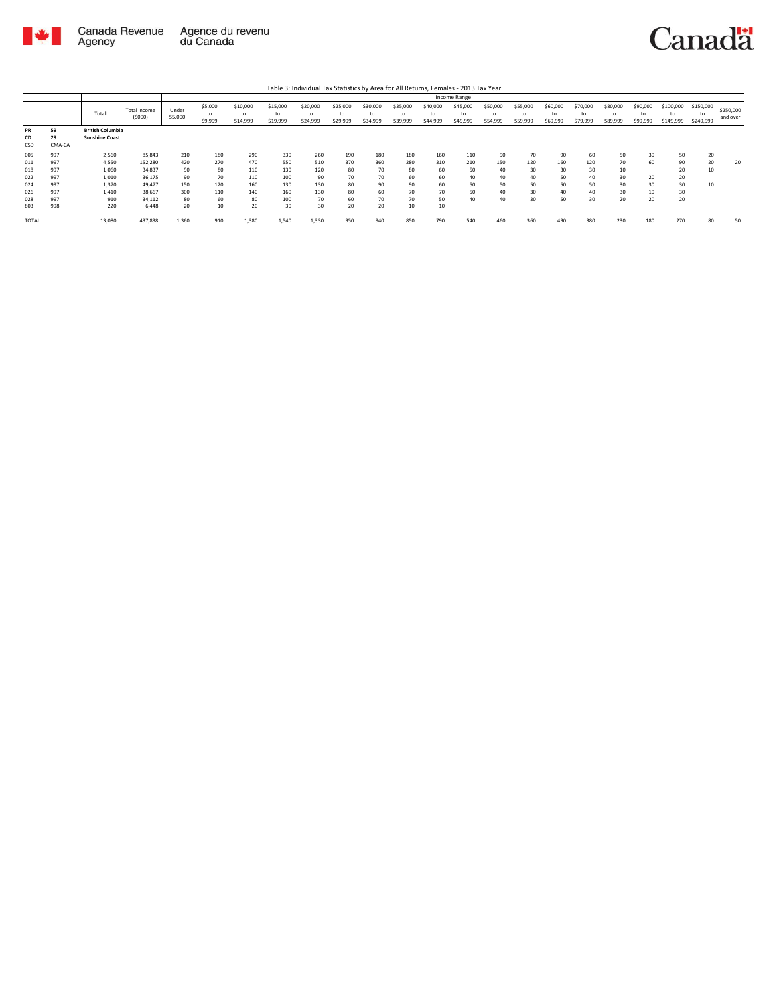

|                        |                    |                                                  |                               |                  |                          |                            |                            |                            |                            |                            |                            |                            | Income Range               |                            |                            |                            |                            |                            |                            |                              |                              |                       |
|------------------------|--------------------|--------------------------------------------------|-------------------------------|------------------|--------------------------|----------------------------|----------------------------|----------------------------|----------------------------|----------------------------|----------------------------|----------------------------|----------------------------|----------------------------|----------------------------|----------------------------|----------------------------|----------------------------|----------------------------|------------------------------|------------------------------|-----------------------|
|                        |                    | Total                                            | <b>Total Income</b><br>(5000) | Under<br>\$5,000 | \$5,000<br>to<br>\$9,999 | \$10,000<br>to<br>\$14,999 | \$15,000<br>to<br>\$19,999 | \$20,000<br>to<br>\$24,999 | \$25,000<br>to<br>\$29,999 | \$30,000<br>to<br>\$34,999 | \$35,000<br>to<br>\$39,999 | \$40,000<br>to<br>\$44,999 | \$45,000<br>to<br>\$49,999 | \$50,000<br>to<br>\$54,999 | \$55,000<br>to<br>\$59,999 | \$60,000<br>to<br>\$69,999 | \$70,000<br>to<br>\$79,999 | \$80,000<br>to<br>\$89,999 | \$90,000<br>to<br>\$99,999 | \$100,000<br>to<br>\$149,999 | \$150,000<br>to<br>\$249,999 | \$250,000<br>and over |
| <b>PR</b><br>CD<br>CSD | 59<br>29<br>CMA-CA | <b>British Columbia</b><br><b>Sunshine Coast</b> |                               |                  |                          |                            |                            |                            |                            |                            |                            |                            |                            |                            |                            |                            |                            |                            |                            |                              |                              |                       |
| 005                    | 997                | 2,560                                            | 85,843                        | 210              | 180                      | 290                        | 330                        | 260                        | 190                        | 180                        | 180                        | 160                        | 110                        | 90                         | 70                         | 90                         | 60                         | 50                         | 30                         | 50                           | 20                           |                       |
| 011                    | 997                | 4,550                                            | 152,280                       | 420              | 270                      | 470                        | 550                        | 510                        | 370                        | 360                        | 280                        | 310                        | 210                        | 150                        | 120                        | 160                        | 120                        | 70                         | 60                         | 90                           | 20                           | 20                    |
| 018                    | 997                | 1,060                                            | 34,837                        | 90               | 80                       | 110                        | 130                        | 120                        | 80                         | 70                         | 80                         | 60                         | 50                         | 40                         | 30                         | 30                         | 30                         | 10                         |                            | 20                           | 10                           |                       |
| 022                    | 997                | 1,010                                            | 36,175                        | 90               | 70                       | 110                        | 100                        | 90                         | 70                         | 70                         | 60                         | 60                         | 40                         | 40                         | 40                         | 50                         | 40                         | 30                         | 20                         | 20                           |                              |                       |
| 024                    | 997                | 1,370                                            | 49.477                        | 150              | 120                      | 160                        | 130                        | 130                        | 80                         | 90                         | 90                         | 60                         | 50                         | 50                         | 50                         | 50                         | 50                         | 30                         | 30                         | 30                           | 10                           |                       |
| 026                    | 997                | 1,410                                            | 38,667                        | 300              | 110                      | 140                        | 160                        | 130                        | 80                         | 60                         | 70                         | 70                         | 50                         | 40                         | 30                         | 40                         | 40                         | 30                         |                            | 30                           |                              |                       |
| 028                    | 997                | 910                                              | 34,112                        | 80               | 60                       | 80                         | 100                        | 70                         | 60                         | 70                         | 70                         | 50                         | 40                         | 40                         | 30                         | 50                         | 30                         | 20                         | 20                         | 20                           |                              |                       |
| 803                    | 998                | 220                                              | 6.448                         | 20               | 10                       | 20                         | 30                         | 30                         | 20                         | 20                         | 10                         | 10                         |                            |                            |                            |                            |                            |                            |                            |                              |                              |                       |
| <b>TOTAL</b>           |                    | 13,080                                           | 437,838                       | 1,360            | 910                      | 1,380                      | 1,540                      | 1,330                      | 950                        | 940                        | 850                        | 790                        | 540                        | 460                        | 360                        | 490                        | 380                        | 230                        | 180                        | 270                          | 80                           | 50                    |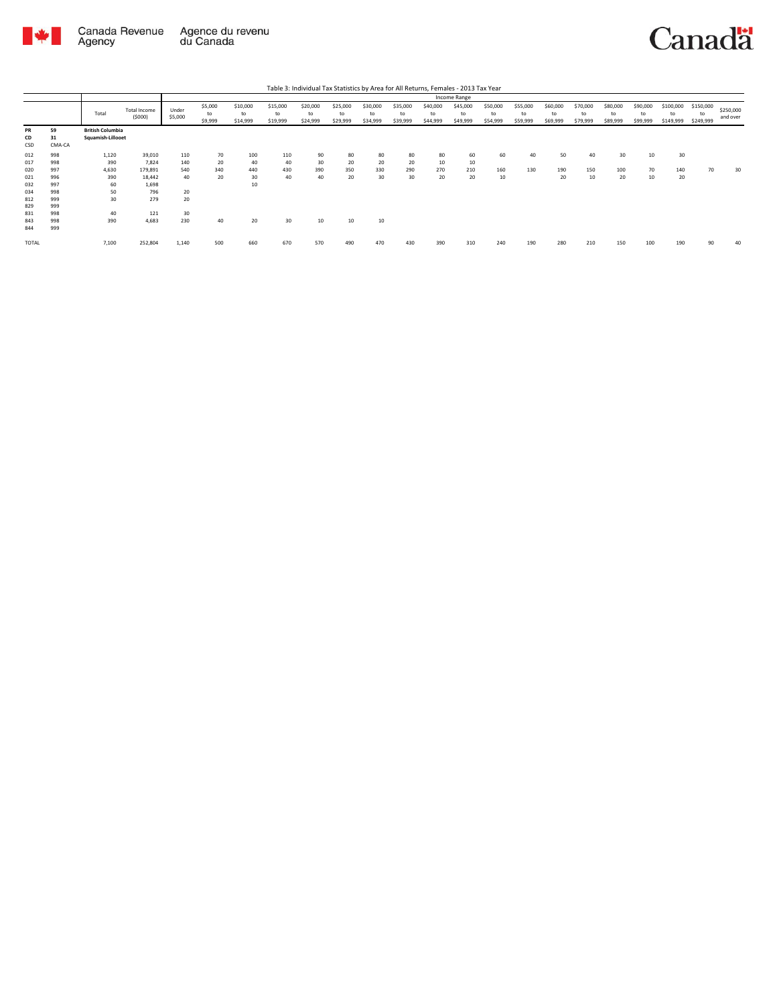

|                   |                    |                                              |                               |                  |                          |                            |                            | Table 3: Individual Tax Statistics by Area for All Returns, Females - 2013 Tax Year |                            |                            |                            |                            |                            |                            |                            |                            |                            |                            |                            |                              |                              |                       |
|-------------------|--------------------|----------------------------------------------|-------------------------------|------------------|--------------------------|----------------------------|----------------------------|-------------------------------------------------------------------------------------|----------------------------|----------------------------|----------------------------|----------------------------|----------------------------|----------------------------|----------------------------|----------------------------|----------------------------|----------------------------|----------------------------|------------------------------|------------------------------|-----------------------|
|                   |                    |                                              |                               |                  |                          |                            |                            |                                                                                     |                            |                            |                            |                            | Income Range               |                            |                            |                            |                            |                            |                            |                              |                              |                       |
|                   |                    | Total                                        | <b>Total Income</b><br>(5000) | Under<br>\$5,000 | \$5,000<br>to<br>\$9,999 | \$10,000<br>to<br>\$14,999 | \$15,000<br>to<br>\$19,999 | \$20,000<br>to<br>\$24,999                                                          | \$25,000<br>to<br>\$29,999 | \$30,000<br>to<br>\$34,999 | \$35,000<br>to<br>\$39,999 | \$40,000<br>to<br>\$44,999 | \$45,000<br>to<br>\$49,999 | \$50,000<br>to<br>\$54,999 | \$55,000<br>to<br>\$59,999 | \$60,000<br>to<br>\$69,999 | \$70,000<br>to<br>\$79,999 | \$80,000<br>to<br>\$89,999 | \$90,000<br>to<br>\$99,999 | \$100,000<br>to<br>\$149,999 | \$150,000<br>to<br>\$249,999 | \$250,000<br>and over |
| PR<br>CD<br>CSD   | 59<br>31<br>CMA-CA | <b>British Columbia</b><br>Squamish-Lillooet |                               |                  |                          |                            |                            |                                                                                     |                            |                            |                            |                            |                            |                            |                            |                            |                            |                            |                            |                              |                              |                       |
| 012<br>017        | 998<br>998         | 1,120<br>390                                 | 39,010<br>7.824               | 110<br>140       | 70<br>20                 | 100<br>40                  | 110<br>40                  | 90<br>30                                                                            | 80<br>20                   | 80<br>20                   | 80<br>20                   | 80<br>10                   | 60<br>10                   | 60                         | 40                         | 50                         | 40                         | 30                         | 10                         | 30                           |                              |                       |
| 020<br>021        | 997<br>996         | 4,630<br>390                                 | 179,891<br>18.442             | 540<br>40        | 340<br>20                | 440<br>30                  | 430<br>40                  | 390<br>40                                                                           | 350<br>20                  | 330<br>30                  | 290<br>30                  | 270<br>20                  | 210<br>20                  | 160<br>10                  | 130                        | 190<br>20                  | 150<br>10                  | 100<br>20                  | 70<br>10                   | 140<br>20                    | 70                           | 30                    |
| 032<br>034        | 997<br>998         | 60<br>50                                     | 1,698<br>796                  | 20               |                          | 10                         |                            |                                                                                     |                            |                            |                            |                            |                            |                            |                            |                            |                            |                            |                            |                              |                              |                       |
| 812<br>829<br>831 | 999<br>999<br>998  | 30<br>40                                     | 279<br>121                    | 20<br>30         |                          |                            |                            |                                                                                     |                            |                            |                            |                            |                            |                            |                            |                            |                            |                            |                            |                              |                              |                       |
| 843<br>844        | 998<br>999         | 390                                          | 4.683                         | 230              | 40                       | 20                         | 30                         | 10                                                                                  | 10                         | 10                         |                            |                            |                            |                            |                            |                            |                            |                            |                            |                              |                              |                       |
| <b>TOTAL</b>      |                    | 7.100                                        | 252,804                       | 1,140            | 500                      | 660                        | 670                        | 570                                                                                 | 490                        | 470                        | 430                        | 390                        | 310                        | 240                        | 190                        | 280                        | 210                        | 150                        | 100                        | 190                          | 90                           | 40                    |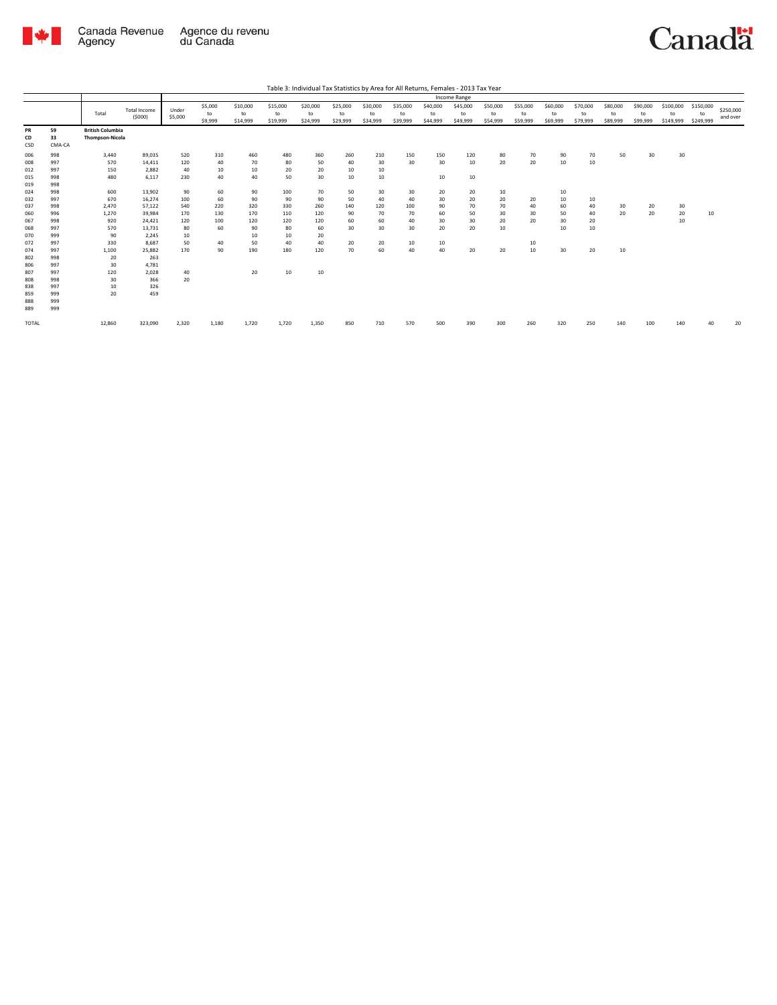

|                                                                                                                            |                                                                                                                            |                                                                                                                         |                                                                                                                                                            |                                                                                                |                                                                          |                                                                                       |                                                                                        |                                                                                       |                                                                        |                                                                        |                                                            |                                                                 | Income Range                                              |                                                    |                                              |                                                    |                                              |                            |                            |                              |                              |                       |
|----------------------------------------------------------------------------------------------------------------------------|----------------------------------------------------------------------------------------------------------------------------|-------------------------------------------------------------------------------------------------------------------------|------------------------------------------------------------------------------------------------------------------------------------------------------------|------------------------------------------------------------------------------------------------|--------------------------------------------------------------------------|---------------------------------------------------------------------------------------|----------------------------------------------------------------------------------------|---------------------------------------------------------------------------------------|------------------------------------------------------------------------|------------------------------------------------------------------------|------------------------------------------------------------|-----------------------------------------------------------------|-----------------------------------------------------------|----------------------------------------------------|----------------------------------------------|----------------------------------------------------|----------------------------------------------|----------------------------|----------------------------|------------------------------|------------------------------|-----------------------|
|                                                                                                                            |                                                                                                                            | Total                                                                                                                   | Total Income<br>(5000)                                                                                                                                     | Under<br>\$5,000                                                                               | \$5,000<br>to<br>\$9,999                                                 | \$10,000<br>to<br>\$14,999                                                            | \$15,000<br>to<br>\$19,999                                                             | \$20,000<br>to<br>\$24,999                                                            | \$25,000<br>to<br>\$29,999                                             | \$30,000<br>to<br>\$34,999                                             | \$35,000<br>to<br>\$39,999                                 | \$40,000<br>to<br>\$44,999                                      | \$45,000<br>to<br>\$49,999                                | \$50,000<br>to<br>\$54,999                         | \$55,000<br>to<br>\$59,999                   | \$60,000<br>to<br>\$69,999                         | \$70,000<br>to<br>\$79,999                   | \$80,000<br>to<br>\$89,999 | \$90,000<br>to<br>\$99,999 | \$100,000<br>to<br>\$149,999 | \$150,000<br>to<br>\$249,999 | \$250,000<br>and over |
| PR<br>CD<br>CSD                                                                                                            | 59<br>33<br>CMA-CA                                                                                                         | <b>British Columbia</b><br><b>Thompson-Nicola</b>                                                                       |                                                                                                                                                            |                                                                                                |                                                                          |                                                                                       |                                                                                        |                                                                                       |                                                                        |                                                                        |                                                            |                                                                 |                                                           |                                                    |                                              |                                                    |                                              |                            |                            |                              |                              |                       |
| 006<br>008<br>012<br>015<br>019<br>024<br>032<br>037<br>060<br>067<br>068<br>070<br>072<br>074<br>802<br>806<br>807<br>808 | 998<br>997<br>997<br>998<br>998<br>998<br>997<br>998<br>996<br>998<br>997<br>999<br>997<br>997<br>998<br>997<br>997<br>998 | 3,440<br>570<br>150<br>480<br>600<br>670<br>2,470<br>1,270<br>920<br>570<br>90<br>330<br>1,100<br>20<br>30<br>120<br>30 | 89,035<br>14,411<br>2.882<br>6,117<br>13,902<br>16,274<br>57,122<br>39,984<br>24,421<br>13,731<br>2,245<br>8,687<br>25,882<br>263<br>4,781<br>2,028<br>366 | 520<br>120<br>40<br>230<br>90<br>100<br>540<br>170<br>120<br>80<br>10<br>50<br>170<br>40<br>20 | 310<br>40<br>10<br>40<br>60<br>60<br>220<br>130<br>100<br>60<br>40<br>90 | 460<br>70<br>10<br>40<br>90<br>90<br>320<br>170<br>120<br>90<br>10<br>50<br>190<br>20 | 480<br>80<br>20<br>50<br>100<br>90<br>330<br>110<br>120<br>80<br>10<br>40<br>180<br>10 | 360<br>50<br>20<br>30<br>70<br>90<br>260<br>120<br>120<br>60<br>20<br>40<br>120<br>10 | 260<br>40<br>10<br>10<br>50<br>50<br>140<br>90<br>60<br>30<br>20<br>70 | 210<br>30<br>10<br>10<br>30<br>40<br>120<br>70<br>60<br>30<br>20<br>60 | 150<br>30<br>30<br>40<br>100<br>70<br>40<br>30<br>10<br>40 | 150<br>30<br>10<br>20<br>30<br>90<br>60<br>30<br>20<br>10<br>40 | 120<br>10<br>10<br>20<br>20<br>70<br>50<br>30<br>20<br>20 | 80<br>20<br>10<br>20<br>70<br>30<br>20<br>10<br>20 | 70<br>20<br>20<br>40<br>30<br>20<br>10<br>10 | 90<br>10<br>10<br>10<br>60<br>50<br>30<br>10<br>30 | 70<br>10<br>10<br>40<br>40<br>20<br>10<br>20 | 50<br>30<br>20<br>10       | 30<br>20<br>20             | 30<br>30<br>20<br>10         | 10                           |                       |
| 838<br>859<br>888<br>889<br>TOTAL                                                                                          | 997<br>999<br>999<br>999                                                                                                   | 10<br>20<br>12,860                                                                                                      | 326<br>459<br>323,090                                                                                                                                      | 2,320                                                                                          | 1,180                                                                    | 1,720                                                                                 | 1,720                                                                                  | 1,350                                                                                 | 850                                                                    | 710                                                                    | 570                                                        | 500                                                             | 390                                                       | 300                                                | 260                                          | 320                                                | 250                                          | 140                        |                            | 140                          | 40                           | 20                    |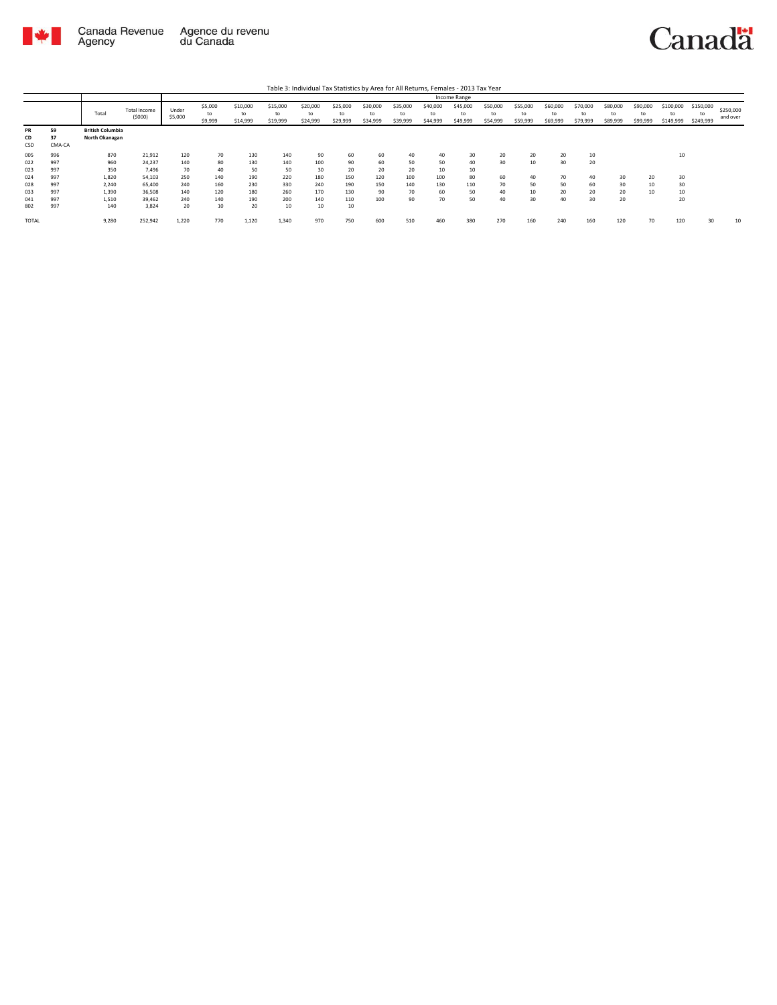

| Table 3: Individual Tax Statistics by Area for All Returns, Females - 2013 Tax Year |  |
|-------------------------------------------------------------------------------------|--|
|                                                                                     |  |

|                        |                    |                                           |                        |                  |               |                |                |                |                |                |                |                | Income Range   |                |                |                |                |                |                |                 |                 |                       |
|------------------------|--------------------|-------------------------------------------|------------------------|------------------|---------------|----------------|----------------|----------------|----------------|----------------|----------------|----------------|----------------|----------------|----------------|----------------|----------------|----------------|----------------|-----------------|-----------------|-----------------------|
|                        |                    | Total                                     | Total Income<br>(5000) | Under<br>\$5,000 | \$5,000<br>to | \$10,000<br>to | \$15,000<br>to | \$20,000<br>to | \$25,000<br>to | \$30,000<br>to | \$35,000<br>to | \$40,000<br>to | \$45,000<br>to | \$50,000<br>to | \$55,000<br>to | \$60,000<br>to | \$70,000<br>to | \$80,000<br>to | \$90,000<br>to | \$100,000<br>to | \$150,000<br>to | \$250,000<br>and over |
|                        |                    |                                           |                        |                  | \$9,999       | \$14,999       | \$19,999       | \$24,999       | \$29,999       | \$34,999       | \$39,999       | \$44,999       | \$49,999       | \$54,999       | \$59,999       | \$69,999       | \$79,999       | \$89,999       | \$99,999       | \$149,999       | \$249,999       |                       |
| <b>PR</b><br>CD<br>CSD | 59<br>37<br>CMA-CA | <b>British Columbia</b><br>North Okanagan |                        |                  |               |                |                |                |                |                |                |                |                |                |                |                |                |                |                |                 |                 |                       |
| 005                    | 996                | 870                                       | 21,912                 | 120              | 70            | 130            | 140            | 90             | 60             | 60             | 40             | 40             | 30             | 20             | 20             | 20             | 10             |                |                | 10              |                 |                       |
| 022                    | 997                | 960                                       | 24,237                 | 140              | 80            | 130            | 140            | 100            | 90             | 60             | 50             | 50             | 40             | 30             | 10             | 30             | 20             |                |                |                 |                 |                       |
| 023                    | 997                | 350                                       | 7,496                  | 70               | 40            | 50             | 50             | 30             | 20             | 20             | 20             | 10             | 10             |                |                |                |                |                |                |                 |                 |                       |
| 024                    | 997                | 1,820                                     | 54,103                 | 250              | 140           | 190            | 220            | 180            | 150            | 120            | 100            | 100            | 80             | 60             | 40             | 70             | 40             | 30             | 20             | 30              |                 |                       |
| 028                    | 997                | 2,240                                     | 65,400                 | 240              | 160           | 230            | 330            | 240            | 190            | 150            | 140            | 130            | 110            | 70             | 50             | 50             | 60             | 30             |                | 30              |                 |                       |
| 033                    | 997                | 1,390                                     | 36,508                 | 140              | 120           | 180            | 260            | 170            | 130            | 90             | 70             | 60             | 50             | 40             | 10             | 20             | 20             | 20             |                | 10              |                 |                       |
| 041                    | 997                | 1,510                                     | 39,462                 | 240              | 140           | 190            | 200            | 140            | 110            | 100            | 90             | 70             | 50             | 40             | 30             | 40             | 30             | 20             |                | 20              |                 |                       |
| 802                    | 997                | 140                                       | 3.824                  | 20               | 10            | 20             | 10             | 10             | 10             |                |                |                |                |                |                |                |                |                |                |                 |                 |                       |
| TOTAL                  |                    | 9,280                                     | 252,942                | 1.220            | 770           | 1,120          | 1.340          | 970            | 750            | 600            | 510            | 460            | 380            | 270            | 160            | 240            | 160            | 120            | 70             | 120             | $30^{\circ}$    | 10                    |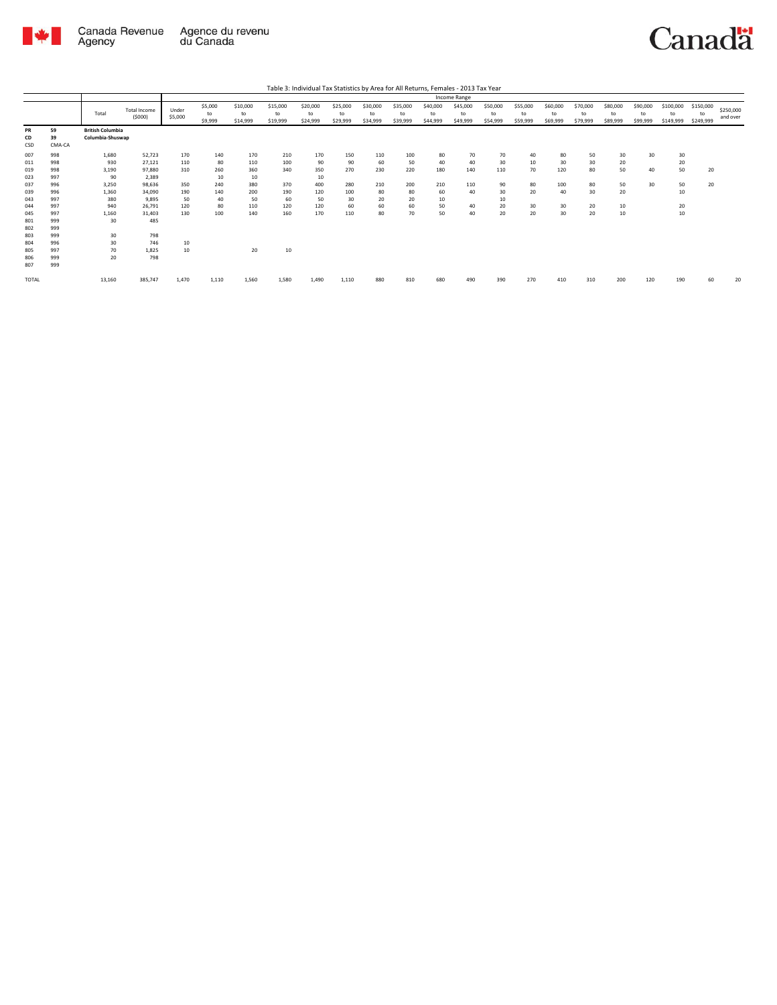

|              |        |                         |                               |                  |                          |                            |                            | Table 3: Individual Tax Statistics by Area for All Returns, Females - 2013 Tax Year |                            |                            |                            |                            |                            |                            |                            |                            |                            |                            |                            |                              |                              |                       |
|--------------|--------|-------------------------|-------------------------------|------------------|--------------------------|----------------------------|----------------------------|-------------------------------------------------------------------------------------|----------------------------|----------------------------|----------------------------|----------------------------|----------------------------|----------------------------|----------------------------|----------------------------|----------------------------|----------------------------|----------------------------|------------------------------|------------------------------|-----------------------|
|              |        |                         |                               |                  |                          |                            |                            |                                                                                     |                            |                            |                            |                            | Income Range               |                            |                            |                            |                            |                            |                            |                              |                              |                       |
|              |        | Total                   | <b>Total Income</b><br>(5000) | Under<br>\$5,000 | \$5,000<br>to<br>\$9,999 | \$10,000<br>to<br>\$14,999 | \$15,000<br>to<br>\$19,999 | \$20,000<br>to<br>\$24,999                                                          | \$25,000<br>to<br>\$29,999 | \$30,000<br>to<br>\$34,999 | \$35,000<br>to<br>\$39,999 | \$40,000<br>to<br>\$44,999 | \$45,000<br>to<br>\$49,999 | \$50,000<br>to<br>\$54,999 | \$55,000<br>to<br>\$59,999 | \$60,000<br>to<br>\$69,999 | \$70,000<br>to<br>\$79,999 | \$80,000<br>to<br>\$89,999 | \$90,000<br>to<br>\$99,999 | \$100,000<br>to<br>\$149,999 | \$150,000<br>to<br>\$249,999 | \$250,000<br>and over |
| <b>PR</b>    | 59     | <b>British Columbia</b> |                               |                  |                          |                            |                            |                                                                                     |                            |                            |                            |                            |                            |                            |                            |                            |                            |                            |                            |                              |                              |                       |
| CD           | 39     | Columbia-Shuswap        |                               |                  |                          |                            |                            |                                                                                     |                            |                            |                            |                            |                            |                            |                            |                            |                            |                            |                            |                              |                              |                       |
| CSD          | CMA-CA |                         |                               |                  |                          |                            |                            |                                                                                     |                            |                            |                            |                            |                            |                            |                            |                            |                            |                            |                            |                              |                              |                       |
| 007          | 998    | 1,680                   | 52.723                        | 170              | 140                      | 170                        | 210                        | 170                                                                                 | 150                        | 110                        | 100                        | 80                         | 70                         | 70                         | 40                         | 80                         | 50                         | 30                         | 30                         | 30                           |                              |                       |
| 011          | 998    | 930                     | 27,121                        | 110              | 80                       | 110                        | 100                        | 90                                                                                  | 90                         | 60                         | 50                         | 40                         | 40                         | 30                         | 10                         | 30                         | 30                         | 20                         |                            | 20                           |                              |                       |
| 019          | 998    | 3,190                   | 97,880                        | 310              | 260                      | 360                        | 340                        | 350                                                                                 | 270                        | 230                        | 220                        | 180                        | 140                        | 110                        | 70                         | 120                        | 80                         | 50                         | 40                         | 50                           | 20                           |                       |
| 023          | 997    | 90                      | 2,389                         |                  | 10                       | 10                         |                            | 10                                                                                  |                            |                            |                            |                            |                            |                            |                            |                            |                            |                            |                            |                              |                              |                       |
| 037          | 996    | 3,250                   | 98.636                        | 350              | 240                      | 380                        | 370                        | 400                                                                                 | 280                        | 210                        | 200                        | 210                        | 110                        | 90                         | 80                         | 100                        | 80                         | 50                         | 30                         | 50                           | 20                           |                       |
| 039          | 996    | 1,360                   | 34.090                        | 190              | 140                      | 200                        | 190                        | 120                                                                                 | 100                        | 80                         | 80                         | 60                         | 40                         | 30                         | 20                         | 40                         | 30                         | 20                         |                            | 10                           |                              |                       |
| 043          | 997    | 380                     | 9.895                         | 50               | 40                       | 50                         | 60                         | 50                                                                                  | 30                         | 20                         | 20                         | 10                         |                            | 10                         |                            |                            |                            |                            |                            |                              |                              |                       |
| 044          | 997    | 940                     | 26.791                        | 120              | 80                       | 110                        | 120                        | 120                                                                                 | 60                         | 60                         | 60                         | 50                         | 40                         | 20                         | 30                         | 30                         | 20                         | 10                         |                            | 20                           |                              |                       |
| 045          | 997    | 1,160                   | 31.403                        | 130              | 100                      | 140                        | 160                        | 170                                                                                 | 110                        | 80                         | 70                         | 50                         | 40                         | 20                         | 20                         | 30                         | 20                         | 10                         |                            | 10                           |                              |                       |
| 801          | 999    | 30                      | 485                           |                  |                          |                            |                            |                                                                                     |                            |                            |                            |                            |                            |                            |                            |                            |                            |                            |                            |                              |                              |                       |
| 802          | 999    |                         |                               |                  |                          |                            |                            |                                                                                     |                            |                            |                            |                            |                            |                            |                            |                            |                            |                            |                            |                              |                              |                       |
| 803          | 999    | 30                      | 798                           |                  |                          |                            |                            |                                                                                     |                            |                            |                            |                            |                            |                            |                            |                            |                            |                            |                            |                              |                              |                       |
| 804          | 996    | 30                      | 746                           | 10               |                          |                            |                            |                                                                                     |                            |                            |                            |                            |                            |                            |                            |                            |                            |                            |                            |                              |                              |                       |
| 805          | 997    | 70                      | 1.825                         | 10               |                          | 20                         | 10                         |                                                                                     |                            |                            |                            |                            |                            |                            |                            |                            |                            |                            |                            |                              |                              |                       |
| 806          | 999    | 20                      | 798                           |                  |                          |                            |                            |                                                                                     |                            |                            |                            |                            |                            |                            |                            |                            |                            |                            |                            |                              |                              |                       |
| 807          | 999    |                         |                               |                  |                          |                            |                            |                                                                                     |                            |                            |                            |                            |                            |                            |                            |                            |                            |                            |                            |                              |                              |                       |
| <b>TOTAL</b> |        | 13,160                  | 385,747                       | 1,470            | 1,110                    | 1.560                      | 1,580                      | 1,490                                                                               | 1,110                      | 880                        | 810                        | 680                        | 490                        | 390                        | 270                        | 410                        | 310                        | 200                        | 120                        | 190                          | 60                           | 20                    |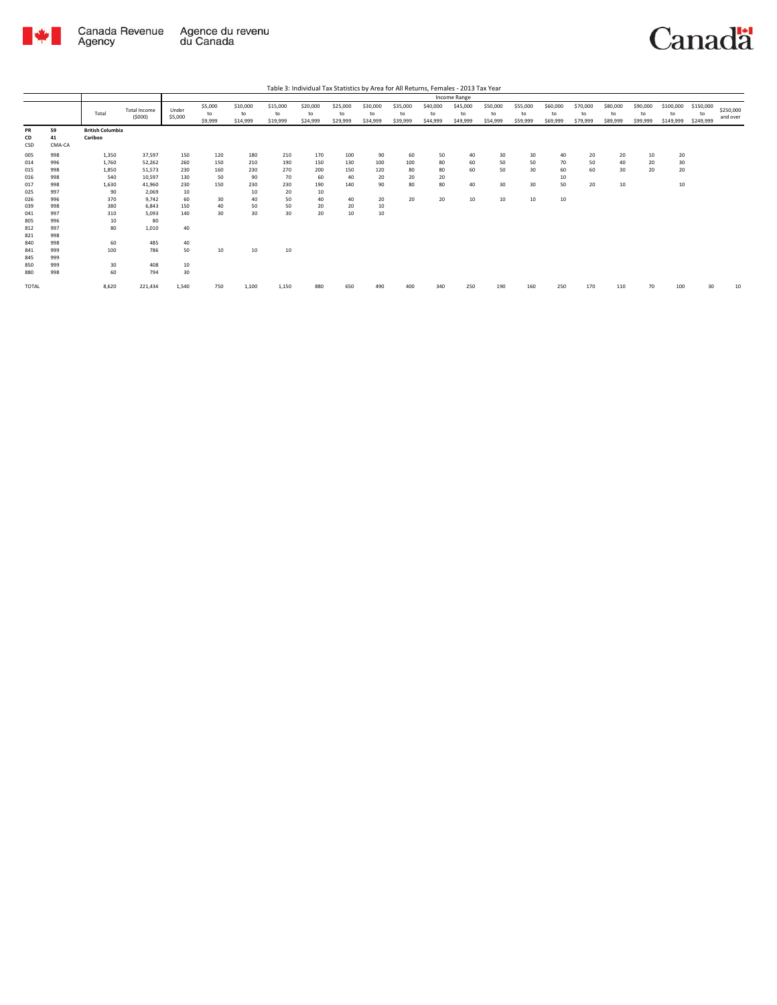

|                                                                                  |                                                                                  |                                                                                |                                                                                                   |                                                                 | Income Range                                     |                                                        |                                                        |                                                        |                                                  |                                                |                                   |                                  |                            |                            |                            |                                  |                            |                            |                            |                              |                              |                       |
|----------------------------------------------------------------------------------|----------------------------------------------------------------------------------|--------------------------------------------------------------------------------|---------------------------------------------------------------------------------------------------|-----------------------------------------------------------------|--------------------------------------------------|--------------------------------------------------------|--------------------------------------------------------|--------------------------------------------------------|--------------------------------------------------|------------------------------------------------|-----------------------------------|----------------------------------|----------------------------|----------------------------|----------------------------|----------------------------------|----------------------------|----------------------------|----------------------------|------------------------------|------------------------------|-----------------------|
|                                                                                  |                                                                                  | Total                                                                          | Total Income<br>(5000)                                                                            | Under<br>\$5,000                                                | \$5,000<br>to<br>\$9,999                         | \$10,000<br>to<br>\$14,999                             | \$15,000<br>to<br>\$19,999                             | \$20,000<br>to<br>\$24,999                             | \$25,000<br>to<br>\$29,999                       | \$30,000<br>to<br>\$34,999                     | \$35,000<br>to<br>\$39,999        | \$40,000<br>to<br>\$44,999       | \$45,000<br>to<br>\$49,999 | \$50,000<br>to<br>\$54,999 | \$55,000<br>to<br>\$59,999 | \$60,000<br>to<br>\$69,999       | \$70,000<br>to<br>\$79,999 | \$80,000<br>to<br>\$89,999 | \$90,000<br>to<br>\$99,999 | \$100,000<br>to<br>\$149,999 | \$150,000<br>to<br>\$249,999 | \$250,000<br>and over |
| PR<br>CD<br>CSD                                                                  | 59<br>41<br>CMA-CA                                                               | <b>British Columbia</b><br>Cariboo                                             |                                                                                                   |                                                                 |                                                  |                                                        |                                                        |                                                        |                                                  |                                                |                                   |                                  |                            |                            |                            |                                  |                            |                            |                            |                              |                              |                       |
| 005<br>014<br>015<br>016<br>017<br>025<br>026<br>039<br>041<br>805<br>812<br>821 | 998<br>996<br>998<br>998<br>998<br>997<br>996<br>998<br>997<br>996<br>997<br>998 | 1,350<br>1,760<br>1,850<br>540<br>1,630<br>90<br>370<br>380<br>310<br>10<br>80 | 37,597<br>52,262<br>51,573<br>10,597<br>41,960<br>2,069<br>9.742<br>6.843<br>5.093<br>80<br>1,010 | 150<br>260<br>230<br>130<br>230<br>10<br>60<br>150<br>140<br>40 | 120<br>150<br>160<br>50<br>150<br>30<br>40<br>30 | 180<br>210<br>230<br>90<br>230<br>10<br>40<br>50<br>30 | 210<br>190<br>270<br>70<br>230<br>20<br>50<br>50<br>30 | 170<br>150<br>200<br>60<br>190<br>10<br>40<br>20<br>20 | 100<br>130<br>150<br>40<br>140<br>40<br>20<br>10 | 90<br>100<br>120<br>20<br>90<br>20<br>10<br>10 | 60<br>100<br>80<br>20<br>80<br>20 | 50<br>80<br>80<br>20<br>80<br>20 | 40<br>60<br>60<br>40<br>10 | 30<br>50<br>50<br>30<br>10 | 30<br>50<br>30<br>30<br>10 | 40<br>70<br>60<br>10<br>50<br>10 | 20<br>50<br>60<br>20       | 20<br>40<br>30<br>10       | 10<br>20<br>20             | 20<br>30<br>20<br>10         |                              |                       |
| 840<br>841<br>845<br>850<br>880<br>TOTAL                                         | 998<br>999<br>999<br>999<br>998                                                  | 60<br>100<br>30<br>60<br>8,620                                                 | 485<br>786<br>408<br>794<br>221,434                                                               | 40<br>50<br>10<br>30<br>1,540                                   | 10<br>750                                        | 10<br>1,100                                            | 10<br>1,150                                            | 880                                                    | 650                                              | 490                                            | 400                               | 340                              | 250                        | 190                        | 160                        | 250                              | 170                        | 110                        |                            | 100                          | 30                           | 10                    |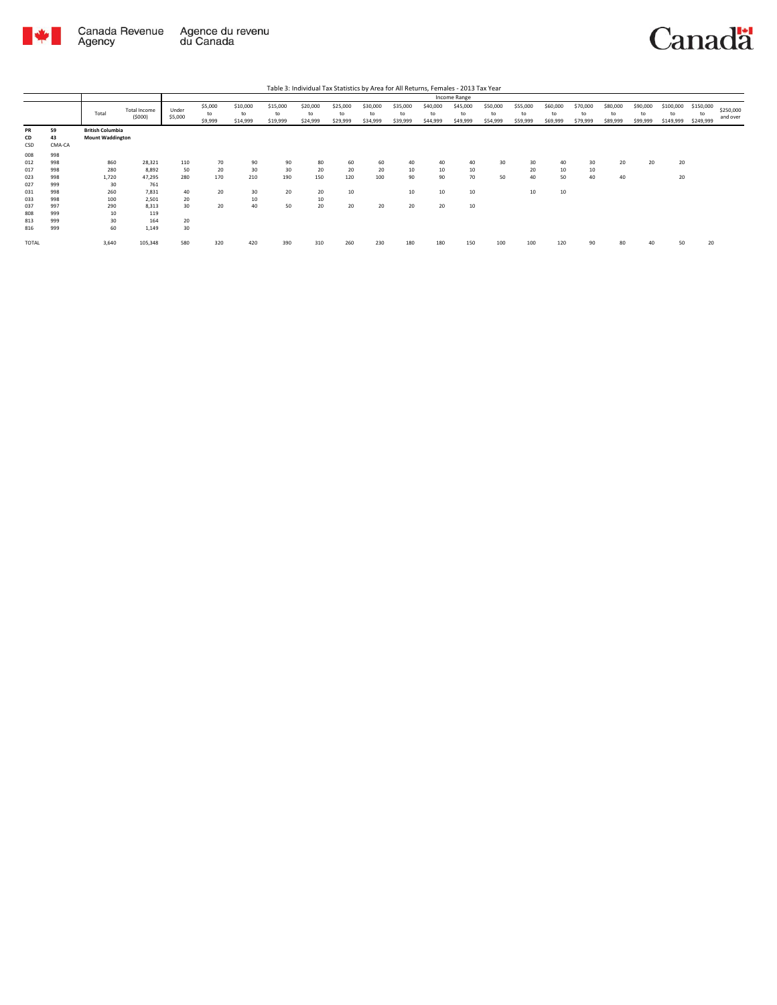

Canada Revenue<br>Agency Agence du revenu<br>du Canada

|                        |                    |                                                    |                        |                  |                          |                            |                            | Table 3: Individual Tax Statistics by Area for All Returns, Females - 2013 Tax Year |                            |                            |                            |                            |                            |                            |                            |                            |                            |                            |                            |                              |                              |                       |
|------------------------|--------------------|----------------------------------------------------|------------------------|------------------|--------------------------|----------------------------|----------------------------|-------------------------------------------------------------------------------------|----------------------------|----------------------------|----------------------------|----------------------------|----------------------------|----------------------------|----------------------------|----------------------------|----------------------------|----------------------------|----------------------------|------------------------------|------------------------------|-----------------------|
|                        |                    |                                                    |                        |                  |                          |                            |                            |                                                                                     |                            |                            |                            |                            | Income Range               |                            |                            |                            |                            |                            |                            |                              |                              |                       |
|                        |                    | Total                                              | Total Income<br>(5000) | Under<br>\$5,000 | \$5,000<br>to<br>\$9,999 | \$10,000<br>to<br>\$14,999 | \$15,000<br>to<br>\$19,999 | \$20,000<br>to<br>\$24,999                                                          | \$25,000<br>to<br>\$29,999 | \$30,000<br>to<br>\$34,999 | \$35,000<br>to<br>\$39,999 | \$40,000<br>to<br>\$44,999 | \$45,000<br>to<br>\$49,999 | \$50,000<br>to<br>\$54,999 | \$55,000<br>to<br>\$59,999 | \$60,000<br>to<br>\$69,999 | \$70,000<br>to<br>\$79,999 | \$80,000<br>to<br>\$89,999 | \$90,000<br>to<br>\$99,999 | \$100,000<br>to<br>\$149,999 | \$150,000<br>to<br>\$249,999 | \$250,000<br>and over |
| <b>PR</b><br>CD<br>CSD | 59<br>43<br>CMA-CA | <b>British Columbia</b><br><b>Mount Waddington</b> |                        |                  |                          |                            |                            |                                                                                     |                            |                            |                            |                            |                            |                            |                            |                            |                            |                            |                            |                              |                              |                       |
| 008<br>012             | 998<br>998         | 860                                                | 28,321                 | 110              | 70                       | 90                         | 90                         | 80                                                                                  | 60                         | 60                         | 40                         | 40                         | 40                         | 30                         | 30                         | 40                         | 30                         | 20                         | 20                         | 20                           |                              |                       |
| 017<br>023             | 998<br>998         | 280<br>1.720                                       | 8.892<br>47.295        | 50<br>280        | 20<br>170                | 30<br>210                  | 30<br>190                  | 20<br>150                                                                           | 20<br>120                  | 20<br>100                  | 10<br>90                   | 10<br>90                   | 10<br>70                   | 50                         | 20<br>40                   | 10<br>50                   | 10<br>40                   | 40                         |                            | 20                           |                              |                       |
| 027<br>031<br>033      | 999<br>998<br>998  | 30<br>260<br>100                                   | 761<br>7.831<br>2.501  | 40<br>20         | 20                       | 30<br>10                   | 20                         | 20<br>10                                                                            | 10                         |                            | 10                         | 10                         | 10                         |                            | 10                         | 10                         |                            |                            |                            |                              |                              |                       |
| 037<br>808             | 997<br>999         | 290<br>10                                          | 8.313<br>119           | 30               | 20                       | 40                         | 50                         | 20                                                                                  | 20                         | 20                         | 20                         | 20                         | 10                         |                            |                            |                            |                            |                            |                            |                              |                              |                       |
| 813<br>816             | 999<br>999         | 30<br>60                                           | 164<br>1,149           | 20<br>30         |                          |                            |                            |                                                                                     |                            |                            |                            |                            |                            |                            |                            |                            |                            |                            |                            |                              |                              |                       |
| <b>TOTAL</b>           |                    | 3,640                                              | 105,348                | 580              | 320                      | 420                        | 390                        | 310                                                                                 | 260                        | 230                        | 180                        | 180                        | 150                        | 100                        | 100                        | 120                        | 90                         | 80                         | 40                         | 50                           | 20                           |                       |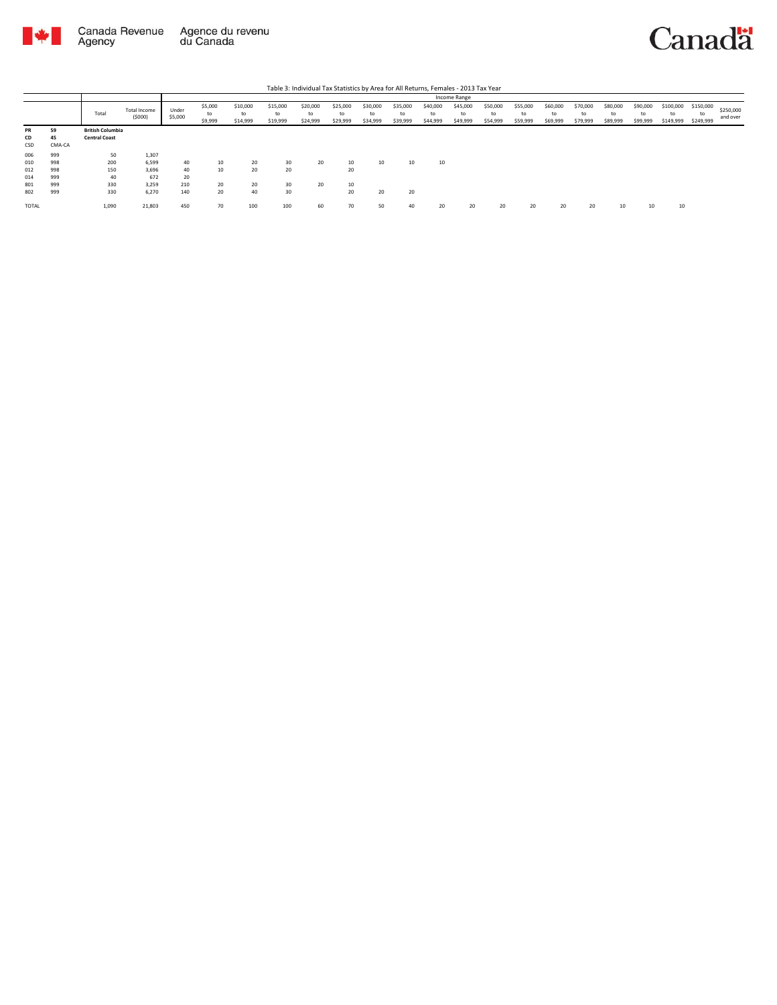

|                                 |                                 |                                                 |                                         |                       |                          |                            |                            |                            |                      |                            |                            |                            | Income Range               |                            |                            |                            |                            |                            |                            |                              |                              |                       |
|---------------------------------|---------------------------------|-------------------------------------------------|-----------------------------------------|-----------------------|--------------------------|----------------------------|----------------------------|----------------------------|----------------------|----------------------------|----------------------------|----------------------------|----------------------------|----------------------------|----------------------------|----------------------------|----------------------------|----------------------------|----------------------------|------------------------------|------------------------------|-----------------------|
|                                 |                                 | Total                                           | Total Income<br>(5000)                  | Under<br>\$5,000      | \$5,000<br>to<br>\$9,999 | \$10,000<br>to<br>\$14,999 | \$15,000<br>to<br>\$19,999 | \$20,000<br>to<br>\$24,999 | \$25,000<br>\$29,999 | \$30,000<br>to<br>\$34,999 | \$35,000<br>to<br>\$39,999 | \$40,000<br>to<br>\$44,999 | \$45,000<br>to<br>\$49,999 | \$50,000<br>to<br>\$54,999 | \$55,000<br>to<br>\$59,999 | \$60,000<br>to<br>\$69,999 | \$70,000<br>to<br>\$79,999 | \$80,000<br>to<br>\$89,999 | \$90,000<br>to<br>\$99,999 | \$100,000<br>to<br>\$149,999 | \$150,000<br>to<br>\$249,999 | \$250,000<br>and over |
| PR<br>CD<br>CSD                 | 59<br>45<br>CMA-CA              | <b>British Columbia</b><br><b>Central Coast</b> |                                         |                       |                          |                            |                            |                            |                      |                            |                            |                            |                            |                            |                            |                            |                            |                            |                            |                              |                              |                       |
| 006<br>010<br>012<br>014<br>801 | 999<br>998<br>998<br>999<br>999 | 50<br>200<br>150<br>40<br>330                   | 1,307<br>6,599<br>3.696<br>672<br>3,259 | 40<br>40<br>20<br>210 | 10<br>10<br>20           | 20<br>20<br>20             | 30<br>20<br>30             | 20<br>20                   | 10<br>20<br>10       | 10                         | 10                         | 10                         |                            |                            |                            |                            |                            |                            |                            |                              |                              |                       |
| 802<br>TOTAL                    | 999                             | 330<br>1,090                                    | 6,270<br>21,803                         | 140<br>450            | 20<br>70                 | 40<br>100                  | 30<br>100                  | 60                         | 20<br>70             | 20<br>50                   | 20<br>40                   | 20                         | 20                         | 20                         | 20                         | 20                         | 20                         | 10                         |                            | 10                           |                              |                       |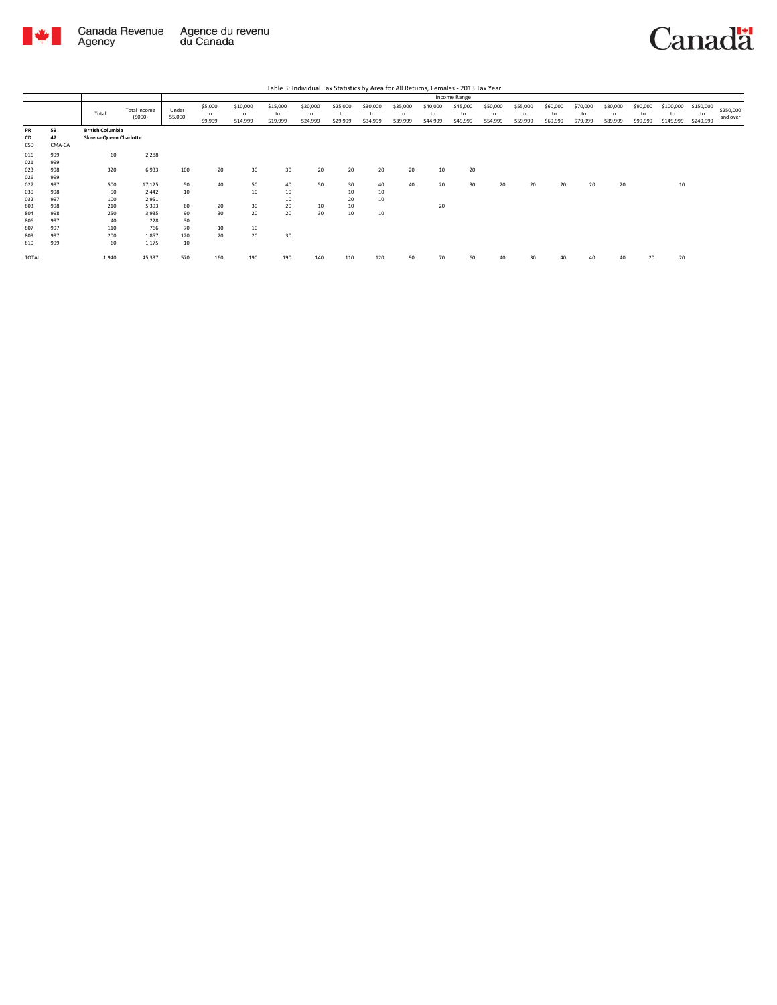

|                 |                    |                                                   |                               |                  |                          |                            |                            | Table 3: Individual Tax Statistics by Area for All Returns, Females - 2013 Tax Year |                            |                            |                            |                            |                            |                            |                            |                            |                            |                            |                            |                              |                              |                       |
|-----------------|--------------------|---------------------------------------------------|-------------------------------|------------------|--------------------------|----------------------------|----------------------------|-------------------------------------------------------------------------------------|----------------------------|----------------------------|----------------------------|----------------------------|----------------------------|----------------------------|----------------------------|----------------------------|----------------------------|----------------------------|----------------------------|------------------------------|------------------------------|-----------------------|
|                 |                    |                                                   |                               |                  |                          |                            |                            |                                                                                     |                            |                            |                            |                            | Income Range               |                            |                            |                            |                            |                            |                            |                              |                              |                       |
|                 |                    | Total                                             | <b>Total Income</b><br>(5000) | Under<br>\$5,000 | \$5,000<br>to<br>\$9,999 | \$10,000<br>to<br>\$14,999 | \$15,000<br>to<br>\$19,999 | \$20,000<br>to<br>\$24,999                                                          | \$25,000<br>to<br>\$29,999 | \$30,000<br>to<br>\$34,999 | \$35,000<br>to<br>\$39,999 | \$40,000<br>to<br>\$44,999 | \$45,000<br>to<br>\$49,999 | \$50,000<br>to<br>\$54,999 | \$55,000<br>to<br>\$59,999 | \$60,000<br>to<br>\$69,999 | \$70,000<br>to<br>\$79,999 | \$80,000<br>to<br>\$89,999 | \$90,000<br>to<br>\$99,999 | \$100,000<br>to<br>\$149,999 | \$150,000<br>to<br>\$249,999 | \$250,000<br>and over |
| PR<br>CD<br>CSD | 59<br>47<br>CMA-CA | <b>British Columbia</b><br>Skeena-Queen Charlotte |                               |                  |                          |                            |                            |                                                                                     |                            |                            |                            |                            |                            |                            |                            |                            |                            |                            |                            |                              |                              |                       |
| 016<br>021      | 999<br>999         | 60                                                | 2,288                         |                  |                          |                            |                            |                                                                                     |                            |                            |                            |                            |                            |                            |                            |                            |                            |                            |                            |                              |                              |                       |
| 023<br>026      | 998<br>999         | 320                                               | 6,933                         | 100              | 20                       | 30                         | 30                         | 20                                                                                  | 20                         | 20                         | 20                         | 10                         | 20                         |                            |                            |                            |                            |                            |                            |                              |                              |                       |
| 027<br>030      | 997<br>998         | 500<br>90                                         | 17,125<br>2.442               | 50<br>10         | 40                       | 50<br>10                   | 40<br>10                   | 50                                                                                  | 30<br>10                   | 40<br>10                   | 40                         | 20                         | 30                         | 20                         | 20                         | 20                         | 20                         | 20                         |                            | 10                           |                              |                       |
| 032             | 997                | 100                                               | 2,951                         |                  |                          |                            | 10                         |                                                                                     | 20                         | 10                         |                            |                            |                            |                            |                            |                            |                            |                            |                            |                              |                              |                       |
| 803<br>804      | 998<br>998         | 210<br>250                                        | 5,393<br>3.935                | 60<br>90         | 20<br>30                 | 30<br>20                   | 20<br>20                   | 10<br>30                                                                            | 10<br>10                   | 10                         |                            | 20                         |                            |                            |                            |                            |                            |                            |                            |                              |                              |                       |
| 806<br>807      | 997<br>997         | 40<br>110                                         | 228<br>766                    | 30<br>70         | 10                       | 10                         |                            |                                                                                     |                            |                            |                            |                            |                            |                            |                            |                            |                            |                            |                            |                              |                              |                       |
| 809<br>810      | 997<br>999         | 200<br>60                                         | 1.857<br>1,175                | 120<br>10        | 20                       | 20                         | 30                         |                                                                                     |                            |                            |                            |                            |                            |                            |                            |                            |                            |                            |                            |                              |                              |                       |
| TOTAL           |                    | 1,940                                             | 45,337                        | 570              | 160                      | 190                        | 190                        | 140                                                                                 | 110                        | 120                        | 90                         | 70                         | 60                         | 40                         |                            | 40                         |                            |                            | 20                         | 20                           |                              |                       |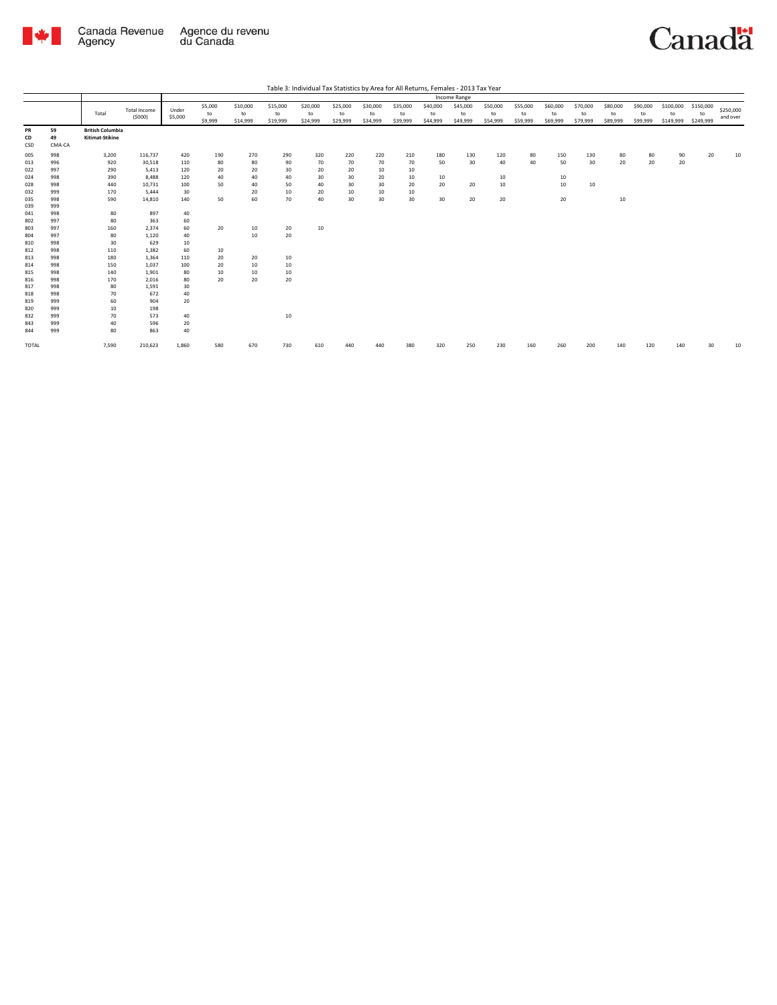

| Table 3: Individual Tax Statistics by Area for All Returns, Females - 2013 Tax Year |
|-------------------------------------------------------------------------------------|
|                                                                                     |

|                 |                    |                                            |                        |                  |                          |                            |                            |                            |                            |                            |                            |                            | Income Range               |                            |                            |                            |                            |                            |                            |                              |                              |                       |
|-----------------|--------------------|--------------------------------------------|------------------------|------------------|--------------------------|----------------------------|----------------------------|----------------------------|----------------------------|----------------------------|----------------------------|----------------------------|----------------------------|----------------------------|----------------------------|----------------------------|----------------------------|----------------------------|----------------------------|------------------------------|------------------------------|-----------------------|
|                 |                    | Total                                      | Total Income<br>(5000) | Under<br>\$5,000 | \$5,000<br>to<br>\$9,999 | \$10,000<br>to<br>\$14,999 | \$15,000<br>to<br>\$19,999 | \$20,000<br>to<br>\$24,999 | \$25,000<br>to<br>\$29,999 | \$30,000<br>to<br>\$34,999 | \$35,000<br>to<br>\$39,999 | \$40,000<br>to<br>\$44,999 | \$45,000<br>to<br>\$49,999 | \$50,000<br>to<br>\$54,999 | \$55,000<br>to<br>\$59,999 | \$60,000<br>to<br>\$69,999 | \$70,000<br>to<br>\$79,999 | \$80,000<br>to<br>\$89,999 | \$90,000<br>to<br>\$99,999 | \$100,000<br>to<br>\$149,999 | \$150,000<br>to<br>\$249,999 | \$250,000<br>and over |
| PR<br>CD<br>CSD | 59<br>49<br>CMA-CA | <b>British Columbia</b><br>Kitimat-Stikine |                        |                  |                          |                            |                            |                            |                            |                            |                            |                            |                            |                            |                            |                            |                            |                            |                            |                              |                              |                       |
| 005             | 998                | 3,200                                      | 116,737                | 420              | 190                      | 270                        | 290                        | 320                        | 220                        | 220                        | 210                        | 180                        | 130                        | 120                        | 80                         | 150                        | 130                        | 80                         | 80                         | 90                           | 20                           | 10                    |
| 013             | 996                | 920                                        | 30,518                 | 110              | 80                       | 80                         | 90                         | 70                         | 70                         | 70                         | 70                         | 50                         | 30                         | 40                         | 40                         | 50                         | 30                         | 20                         | 20                         | 20                           |                              |                       |
| 022             | 997                | 290                                        | 5,413                  | 120              | 20                       | 20                         | 30                         | 20                         | 20                         | 10                         | 10                         |                            |                            |                            |                            |                            |                            |                            |                            |                              |                              |                       |
| 024             | 998                | 390                                        | 8,488                  | 120              | 40                       | 40                         | 40                         | 30                         | 30                         | 20                         | 10                         | 10                         |                            | 10                         |                            | 10                         |                            |                            |                            |                              |                              |                       |
| 028             | 998                | 440                                        | 10,731                 | 100              | 50                       | 40                         | 50                         | 40                         | 30                         | 30                         | 20                         | 20                         | 20                         | 10                         |                            | 10                         | 10                         |                            |                            |                              |                              |                       |
| 032             | 999                | 170                                        | 5,444                  | 30               |                          | 20                         | 10                         | 20                         | 10                         | 10                         | 10                         |                            |                            |                            |                            |                            |                            |                            |                            |                              |                              |                       |
| 035             | 998                | 590                                        | 14,810                 | 140              | 50                       | 60                         | 70                         | 40                         | 30                         | 30                         | 30                         | 30                         | 20                         | 20                         |                            | 20                         |                            | 10                         |                            |                              |                              |                       |
| 039             | 999                |                                            |                        |                  |                          |                            |                            |                            |                            |                            |                            |                            |                            |                            |                            |                            |                            |                            |                            |                              |                              |                       |
| 041             | 998                | 80                                         | 897                    | 40               |                          |                            |                            |                            |                            |                            |                            |                            |                            |                            |                            |                            |                            |                            |                            |                              |                              |                       |
| 802             | 997                | 80                                         | 363                    | 60               |                          |                            |                            |                            |                            |                            |                            |                            |                            |                            |                            |                            |                            |                            |                            |                              |                              |                       |
| 803             | 997                | 160                                        | 2,374                  | 60               | 20                       | 10                         | 20                         | 10                         |                            |                            |                            |                            |                            |                            |                            |                            |                            |                            |                            |                              |                              |                       |
| 804             | 997                | 80                                         | 1,120                  | 40               |                          | 10                         | 20                         |                            |                            |                            |                            |                            |                            |                            |                            |                            |                            |                            |                            |                              |                              |                       |
| 810             | 998                | 30                                         | 629                    | 10               |                          |                            |                            |                            |                            |                            |                            |                            |                            |                            |                            |                            |                            |                            |                            |                              |                              |                       |
| 812             | 998                | 110                                        | 1,382                  | 60               | 10                       |                            |                            |                            |                            |                            |                            |                            |                            |                            |                            |                            |                            |                            |                            |                              |                              |                       |
| 813             | 998                | 180                                        | 1,364                  | 110              | 20                       | 20                         | 10                         |                            |                            |                            |                            |                            |                            |                            |                            |                            |                            |                            |                            |                              |                              |                       |
| 814             | 998                | 150                                        | 1,037                  | 100              | 20                       | 10                         | 10                         |                            |                            |                            |                            |                            |                            |                            |                            |                            |                            |                            |                            |                              |                              |                       |
| 815             | 998                | 140                                        | 1,901                  | 80               | 10                       | 10                         | 10                         |                            |                            |                            |                            |                            |                            |                            |                            |                            |                            |                            |                            |                              |                              |                       |
| 816             | 998                | 170                                        | 2,016                  | 80               | 20                       | 20                         | 20                         |                            |                            |                            |                            |                            |                            |                            |                            |                            |                            |                            |                            |                              |                              |                       |
| 817             | 998                | 80                                         | 1,591                  | 30               |                          |                            |                            |                            |                            |                            |                            |                            |                            |                            |                            |                            |                            |                            |                            |                              |                              |                       |
| 818             | 998                | 70                                         | 672                    | 40               |                          |                            |                            |                            |                            |                            |                            |                            |                            |                            |                            |                            |                            |                            |                            |                              |                              |                       |
| 819             | 999                | 60                                         | 904                    | 20               |                          |                            |                            |                            |                            |                            |                            |                            |                            |                            |                            |                            |                            |                            |                            |                              |                              |                       |
| 820             | 999                | 10                                         | 198                    |                  |                          |                            |                            |                            |                            |                            |                            |                            |                            |                            |                            |                            |                            |                            |                            |                              |                              |                       |
| 832             | 999                | 70                                         | 573                    | 40               |                          |                            | 10                         |                            |                            |                            |                            |                            |                            |                            |                            |                            |                            |                            |                            |                              |                              |                       |
| 843             | 999                | 40                                         | 596                    | 20               |                          |                            |                            |                            |                            |                            |                            |                            |                            |                            |                            |                            |                            |                            |                            |                              |                              |                       |
| 844             | 999                | 80                                         | 863                    | 40               |                          |                            |                            |                            |                            |                            |                            |                            |                            |                            |                            |                            |                            |                            |                            |                              |                              |                       |
| TOTAL           |                    | 7,590                                      | 210,623                | 1,860            | 580                      | 670                        | 730                        | 610                        |                            |                            | 380                        | 320                        | 250                        | 230                        | 160                        | 260                        | 200                        | 140                        | 120                        | 140                          | 30                           | 10                    |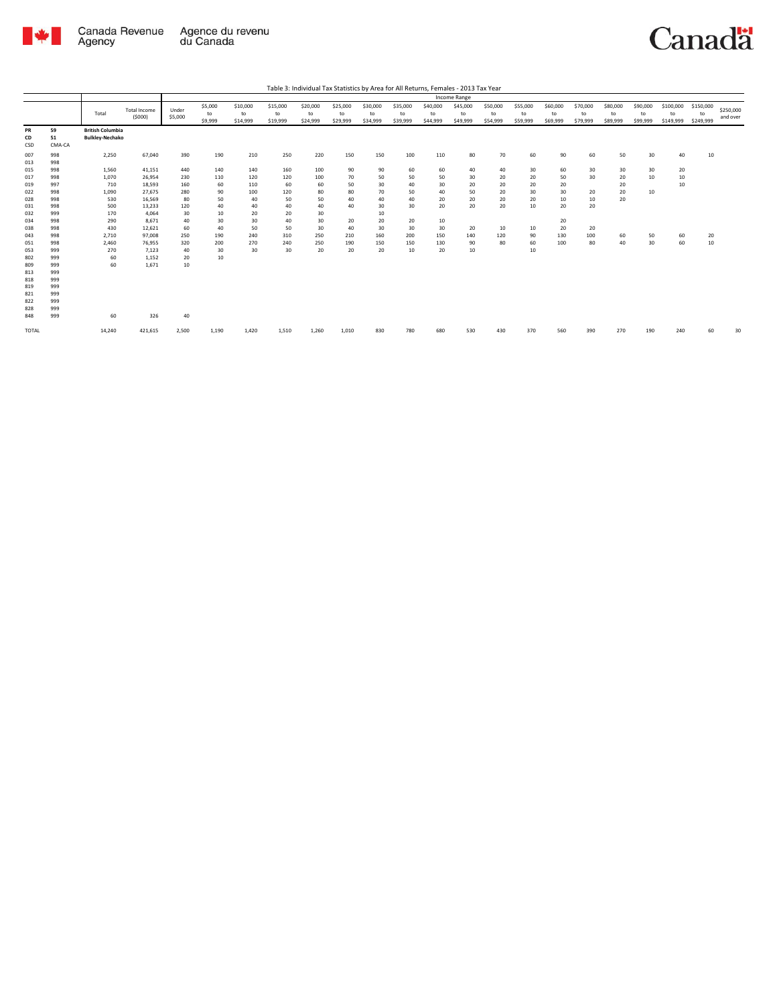

|                                                                                                                                   |                                                                                                                                   | Table 3: Individual Tax Statistics by Area for All Returns, Females - 2013 Tax Year                             |                                                                                                                                               |                                                                                                |                                                                                       |                                                                                   |                                                                                  |                                                                                 |                                                                         |                                                                               |                                                                         |                                                                         |                                                                 |                                                           |                                                                |                                                                  |                                                     |                                              |                                  |                                  |                              |                       |
|-----------------------------------------------------------------------------------------------------------------------------------|-----------------------------------------------------------------------------------------------------------------------------------|-----------------------------------------------------------------------------------------------------------------|-----------------------------------------------------------------------------------------------------------------------------------------------|------------------------------------------------------------------------------------------------|---------------------------------------------------------------------------------------|-----------------------------------------------------------------------------------|----------------------------------------------------------------------------------|---------------------------------------------------------------------------------|-------------------------------------------------------------------------|-------------------------------------------------------------------------------|-------------------------------------------------------------------------|-------------------------------------------------------------------------|-----------------------------------------------------------------|-----------------------------------------------------------|----------------------------------------------------------------|------------------------------------------------------------------|-----------------------------------------------------|----------------------------------------------|----------------------------------|----------------------------------|------------------------------|-----------------------|
|                                                                                                                                   |                                                                                                                                   |                                                                                                                 |                                                                                                                                               |                                                                                                |                                                                                       |                                                                                   |                                                                                  |                                                                                 |                                                                         |                                                                               |                                                                         |                                                                         | Income Range                                                    |                                                           |                                                                |                                                                  |                                                     |                                              |                                  |                                  |                              |                       |
|                                                                                                                                   |                                                                                                                                   | Total                                                                                                           | <b>Total Income</b><br>(5000)                                                                                                                 | Under<br>\$5,000                                                                               | \$5,000<br>to<br>\$9,999                                                              | \$10,000<br>to<br>\$14,999                                                        | \$15,000<br>to<br>\$19,999                                                       | \$20,000<br>to<br>\$24,999                                                      | \$25,000<br>to<br>\$29,999                                              | \$30,000<br>to<br>\$34,999                                                    | \$35,000<br>to<br>\$39,999                                              | \$40,000<br>to<br>\$44,999                                              | \$45,000<br>to<br>\$49,999                                      | \$50,000<br>to<br>\$54,999                                | \$55,000<br>to<br>\$59,999                                     | \$60,000<br>to<br>\$69,999                                       | \$70,000<br>to<br>\$79,999                          | \$80,000<br>to<br>\$89,999                   | \$90,000<br>to<br>\$99,999       | \$100,000<br>to<br>\$149,999     | \$150,000<br>to<br>\$249,999 | \$250,000<br>and over |
| PR<br>CD<br>CSD                                                                                                                   | 59<br>51<br>CMA-CA                                                                                                                | <b>British Columbia</b><br><b>Bulkley-Nechako</b>                                                               |                                                                                                                                               |                                                                                                |                                                                                       |                                                                                   |                                                                                  |                                                                                 |                                                                         |                                                                               |                                                                         |                                                                         |                                                                 |                                                           |                                                                |                                                                  |                                                     |                                              |                                  |                                  |                              |                       |
| 007<br>013<br>015<br>017<br>019<br>022<br>028<br>031<br>032<br>034<br>038<br>043<br>051<br>053<br>802<br>809<br>813<br>818<br>819 | 998<br>998<br>998<br>998<br>997<br>998<br>998<br>998<br>999<br>998<br>998<br>998<br>998<br>999<br>999<br>999<br>999<br>999<br>999 | 2,250<br>1,560<br>1,070<br>710<br>1,090<br>530<br>500<br>170<br>290<br>430<br>2,710<br>2,460<br>270<br>60<br>60 | 67,040<br>41,151<br>26,954<br>18,593<br>27,675<br>16,569<br>13,233<br>4,064<br>8,671<br>12.621<br>97.008<br>76,955<br>7,123<br>1,152<br>1.671 | 390<br>440<br>230<br>160<br>280<br>80<br>120<br>30<br>40<br>60<br>250<br>320<br>40<br>20<br>10 | 190<br>140<br>110<br>60<br>90<br>50<br>40<br>10<br>30<br>40<br>190<br>200<br>30<br>10 | 210<br>140<br>120<br>110<br>100<br>40<br>40<br>20<br>30<br>50<br>240<br>270<br>30 | 250<br>160<br>120<br>60<br>120<br>50<br>40<br>20<br>40<br>50<br>310<br>240<br>30 | 220<br>100<br>100<br>60<br>80<br>50<br>40<br>30<br>30<br>30<br>250<br>250<br>20 | 150<br>90<br>70<br>50<br>80<br>40<br>40<br>20<br>40<br>210<br>190<br>20 | 150<br>90<br>50<br>30<br>70<br>40<br>30<br>10<br>20<br>30<br>160<br>150<br>20 | 100<br>60<br>50<br>40<br>50<br>40<br>30<br>20<br>30<br>200<br>150<br>10 | 110<br>60<br>50<br>30<br>40<br>20<br>20<br>10<br>30<br>150<br>130<br>20 | 80<br>40<br>30<br>20<br>50<br>20<br>20<br>20<br>140<br>90<br>10 | 70<br>40<br>20<br>20<br>20<br>20<br>20<br>10<br>120<br>80 | 60<br>30<br>20<br>20<br>30<br>20<br>10<br>10<br>90<br>60<br>10 | 90<br>60<br>50<br>20<br>30<br>10<br>20<br>20<br>20<br>130<br>100 | 60<br>30<br>30<br>20<br>10<br>20<br>20<br>100<br>80 | 50<br>30<br>20<br>20<br>20<br>20<br>60<br>40 | 30<br>30<br>10<br>10<br>50<br>30 | 40<br>20<br>10<br>10<br>60<br>60 | 10<br>20<br>10               |                       |
| 821<br>822<br>828<br>848<br>TOTAL                                                                                                 | 999<br>999<br>999<br>999                                                                                                          | 60<br>14,240                                                                                                    | 326<br>421,615                                                                                                                                | 40<br>2,500                                                                                    | 1,190                                                                                 | 1,420                                                                             | 1,510                                                                            | 1,260                                                                           | 1,010                                                                   | 830                                                                           | 780                                                                     | 680                                                                     | 530                                                             | 430                                                       | 370                                                            | 560                                                              | 390                                                 | 270                                          | 190                              | 240                              | 60                           | 30                    |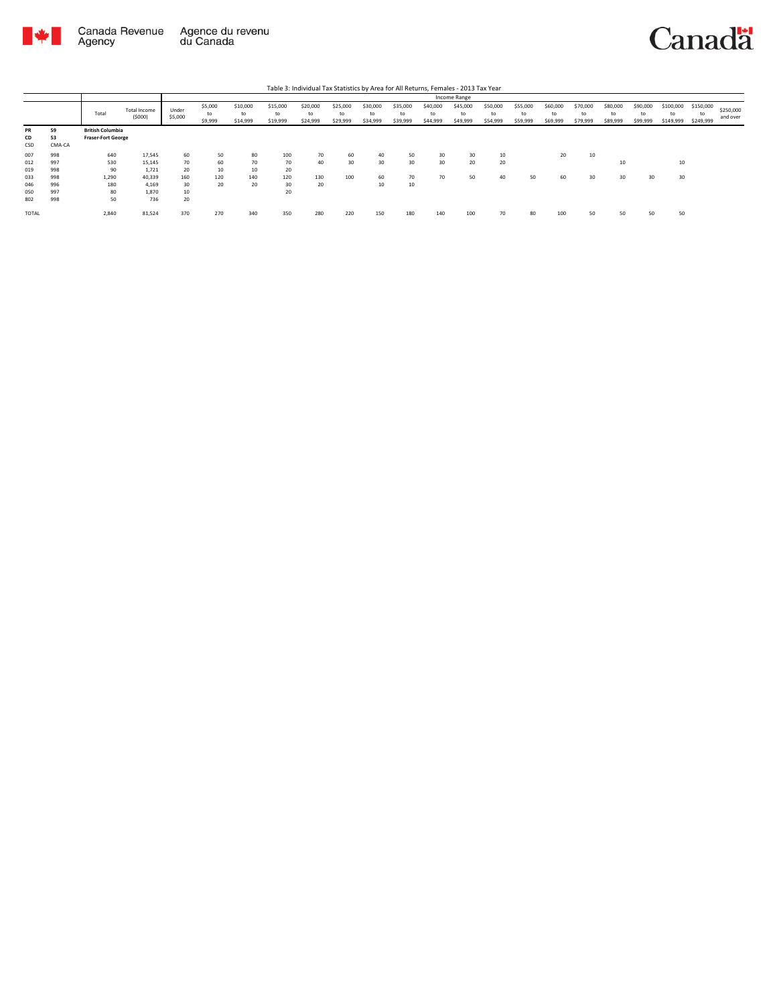

|                 |                    |                                                      |                        |                  |                          |                            |                            | Table 3: Individual Tax Statistics by Area for All Returns, Females - 2013 Tax Year |                            |                            |                            |                            |                            |                            |                            |                            |                            |                            |                            |                              |                              |                       |
|-----------------|--------------------|------------------------------------------------------|------------------------|------------------|--------------------------|----------------------------|----------------------------|-------------------------------------------------------------------------------------|----------------------------|----------------------------|----------------------------|----------------------------|----------------------------|----------------------------|----------------------------|----------------------------|----------------------------|----------------------------|----------------------------|------------------------------|------------------------------|-----------------------|
|                 |                    |                                                      |                        |                  |                          |                            |                            |                                                                                     |                            |                            |                            |                            | Income Range               |                            |                            |                            |                            |                            |                            |                              |                              |                       |
|                 |                    | Total                                                | Total Income<br>(5000) | Under<br>\$5,000 | \$5,000<br>to<br>\$9,999 | \$10,000<br>to<br>\$14,999 | \$15,000<br>to<br>\$19,999 | \$20,000<br>to<br>\$24,999                                                          | \$25,000<br>to<br>\$29,999 | \$30,000<br>to<br>\$34,999 | \$35,000<br>to<br>\$39,999 | \$40,000<br>to<br>\$44,999 | \$45,000<br>to<br>\$49,999 | \$50,000<br>to<br>\$54,999 | \$55,000<br>to<br>\$59,999 | \$60,000<br>to<br>\$69,999 | \$70,000<br>to<br>\$79,999 | \$80,000<br>to<br>\$89,999 | \$90,000<br>to<br>\$99,999 | \$100,000<br>to<br>\$149,999 | \$150,000<br>to<br>\$249,999 | \$250,000<br>and over |
| PR<br>CD<br>CSD | 59<br>53<br>CMA-CA | <b>British Columbia</b><br><b>Fraser-Fort George</b> |                        |                  |                          |                            |                            |                                                                                     |                            |                            |                            |                            |                            |                            |                            |                            |                            |                            |                            |                              |                              |                       |
| 007             | 998                | 640                                                  | 17,545                 | 60               | 50                       | 80                         | 100                        | 70                                                                                  | 60                         | 40                         | 50                         | 30                         | 30                         | 10                         |                            | 20                         | 10                         |                            |                            |                              |                              |                       |
| 012             | 997                | 530                                                  | 15.145                 | 70               | 60                       | 70                         | 70                         | 40                                                                                  | 30                         | 30                         | 30                         | 30                         | 20                         | 20                         |                            |                            |                            | 10                         |                            | 10                           |                              |                       |
| 019             | 998                | 90                                                   | 1.721                  | 20               | 10                       | 10                         | 20                         |                                                                                     |                            |                            |                            |                            |                            |                            |                            |                            |                            |                            |                            |                              |                              |                       |
| 033             | 998                | 1,290                                                | 40.339                 | 160              | 120                      | 140                        | 120                        | 130                                                                                 | 100                        | 60                         | 70                         | 70                         | 50                         | 40                         | 50                         | 60                         | 30                         | 30                         | 30                         | 30                           |                              |                       |
| 046             | 996                | 180                                                  | 4.169                  | 30               | 20                       | 20                         | 30                         | 20                                                                                  |                            | 10                         | 10                         |                            |                            |                            |                            |                            |                            |                            |                            |                              |                              |                       |
| 050             | 997                | 80                                                   | 1.870                  | 10               |                          |                            | 20                         |                                                                                     |                            |                            |                            |                            |                            |                            |                            |                            |                            |                            |                            |                              |                              |                       |
| 802             | 998                | 50                                                   | 736                    | 20               |                          |                            |                            |                                                                                     |                            |                            |                            |                            |                            |                            |                            |                            |                            |                            |                            |                              |                              |                       |
| <b>TOTAL</b>    |                    | 2,840                                                | 81,524                 | 370              | 270                      | 340                        | 350                        | 280                                                                                 | 220                        | 150                        | 180                        | 140                        | 100                        | 70                         | 80                         | 100                        | 50                         | 50                         | 50                         | 50                           |                              |                       |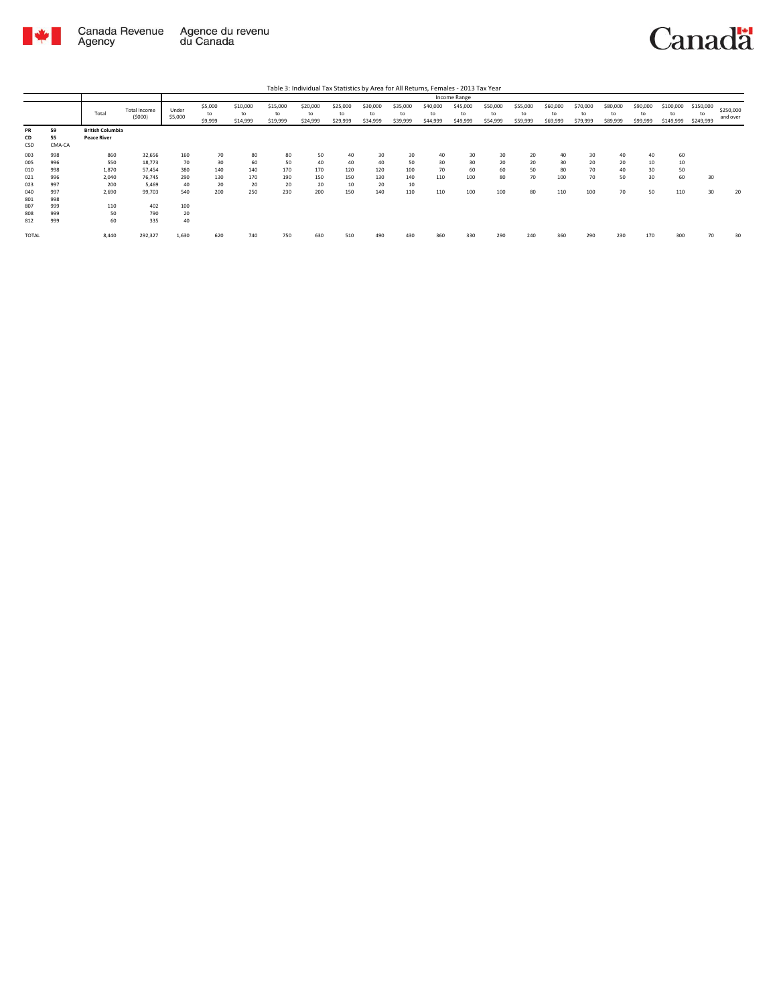

|                        |                    |                                               |                               |                  |                          |                            |                            | Table 3: Individual Tax Statistics by Area for All Returns, Females - 2013 Tax Year |                            |                            |                            |                            |                            |                            |                            |                            |                            |                            |                            |                              |                              |                       |
|------------------------|--------------------|-----------------------------------------------|-------------------------------|------------------|--------------------------|----------------------------|----------------------------|-------------------------------------------------------------------------------------|----------------------------|----------------------------|----------------------------|----------------------------|----------------------------|----------------------------|----------------------------|----------------------------|----------------------------|----------------------------|----------------------------|------------------------------|------------------------------|-----------------------|
|                        |                    |                                               |                               |                  |                          |                            |                            |                                                                                     |                            |                            |                            |                            | Income Range               |                            |                            |                            |                            |                            |                            |                              |                              |                       |
|                        |                    | Total                                         | <b>Total Income</b><br>(5000) | Under<br>\$5,000 | \$5,000<br>to<br>\$9,999 | \$10,000<br>to<br>\$14,999 | \$15,000<br>to<br>\$19,999 | \$20,000<br>to<br>\$24,999                                                          | \$25,000<br>to<br>\$29,999 | \$30,000<br>to<br>\$34,999 | \$35,000<br>to<br>\$39,999 | \$40,000<br>to<br>\$44,999 | \$45,000<br>to<br>\$49,999 | \$50,000<br>to<br>\$54,999 | \$55,000<br>to<br>\$59,999 | \$60,000<br>to<br>\$69,999 | \$70,000<br>to<br>\$79,999 | \$80,000<br>to<br>\$89,999 | \$90,000<br>to<br>\$99,999 | \$100,000<br>to<br>\$149,999 | \$150,000<br>to<br>\$249,999 | \$250,000<br>and over |
| <b>PR</b><br>CD<br>CSD | 59<br>55<br>CMA-CA | <b>British Columbia</b><br><b>Peace River</b> |                               |                  |                          |                            |                            |                                                                                     |                            |                            |                            |                            |                            |                            |                            |                            |                            |                            |                            |                              |                              |                       |
| 003<br>005             | 998<br>996         | 860<br>550                                    | 32,656<br>18.773              | 160<br>70        | 70<br>30                 | 80<br>60                   | 80<br>50                   | 50<br>40                                                                            | 40<br>40                   | 30<br>40                   | 30<br>50                   | 40<br>30                   | 30<br>30                   | 30<br>20                   | 20<br>20                   | 40<br>30                   | 30<br>20                   | 40<br>20                   | 40<br>10                   | 60<br>10                     |                              |                       |
| 010<br>021             | 998<br>996         | 1,870<br>2,040                                | 57.454<br>76.745              | 380<br>290       | 140<br>130               | 140<br>170                 | 170<br>190                 | 170<br>150                                                                          | 120<br>150                 | 120<br>130                 | 100<br>140                 | 70<br>110                  | 60<br>100                  | 60<br>80                   | 50<br>70                   | 80<br>100                  | 70<br>70                   | 40<br>50                   | 30<br>30                   | 50<br>60                     | 30                           |                       |
| 023<br>040<br>801      | 997<br>997<br>998  | 200<br>2,690                                  | 5.469<br>99,703               | 40<br>540        | 20<br>200                | 20<br>250                  | 20<br>230                  | 20<br>200                                                                           | 10<br>150                  | 20<br>140                  | 10<br>110                  | 110                        | 100                        | 100                        | 80                         | 110                        | 100                        | 70                         | 50                         | 110                          | 30                           | 20                    |
| 807<br>808<br>812      | 999<br>999<br>999  | 110<br>50<br>60                               | 402<br>790<br>335             | 100<br>20<br>40  |                          |                            |                            |                                                                                     |                            |                            |                            |                            |                            |                            |                            |                            |                            |                            |                            |                              |                              |                       |
| <b>TOTAL</b>           |                    | 8.440                                         | 292,327                       | 1,630            | 620                      | 740                        | 750                        | 630                                                                                 | 510                        | 490                        | 430                        | 360                        | 330                        | 290                        | 240                        | 360                        | 290                        | 230                        | 170                        | 300                          | 70                           | 30                    |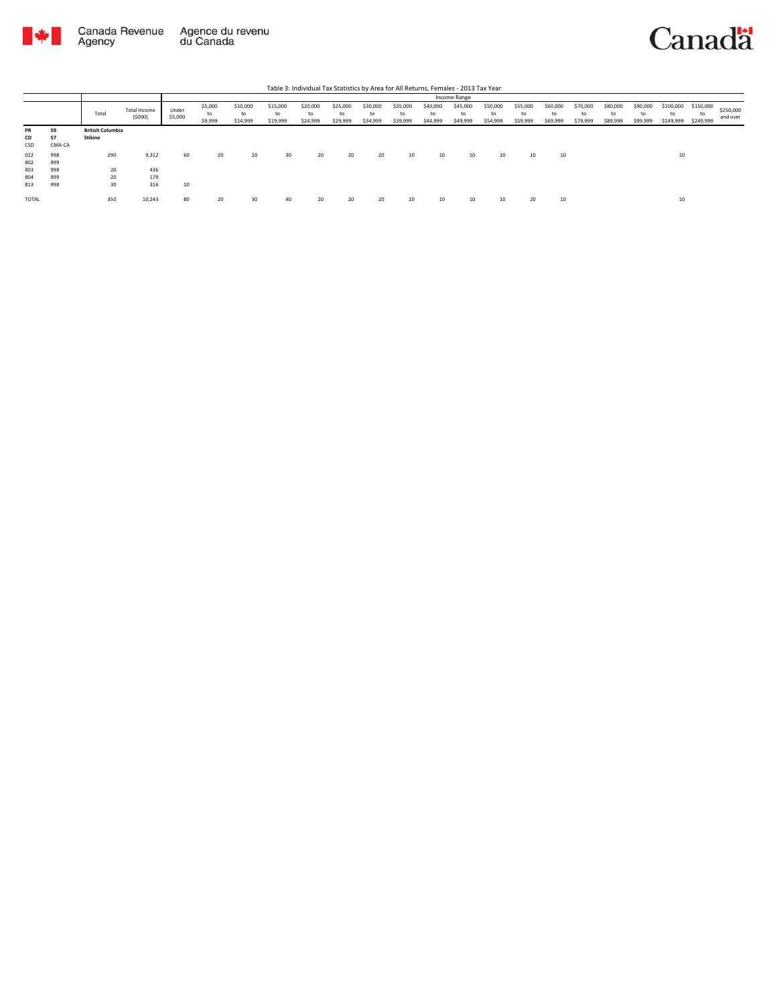



|              |        |                         |                        |                  |                          |                            |                            |                            |                            |                            |                            |                            | Income Range               |                            |                            |                            |                            |                            |                            |                              |                              |                       |
|--------------|--------|-------------------------|------------------------|------------------|--------------------------|----------------------------|----------------------------|----------------------------|----------------------------|----------------------------|----------------------------|----------------------------|----------------------------|----------------------------|----------------------------|----------------------------|----------------------------|----------------------------|----------------------------|------------------------------|------------------------------|-----------------------|
|              |        | Total                   | Total Income<br>(5000) | Under<br>\$5,000 | \$5,000<br>to<br>\$9,999 | \$10,000<br>to<br>\$14,999 | \$15,000<br>to<br>\$19,999 | \$20,000<br>to<br>\$24,999 | \$25,000<br>to<br>\$29,999 | \$30,000<br>to<br>\$34,999 | \$35,000<br>to<br>\$39,999 | \$40,000<br>to<br>\$44,999 | \$45,000<br>to<br>\$49,999 | \$50,000<br>to<br>\$54,999 | \$55,000<br>to<br>\$59,999 | \$60,000<br>to<br>\$69,999 | \$70,000<br>to<br>\$79,999 | \$80,000<br>to<br>\$89,999 | \$90,000<br>to<br>\$99,999 | \$100,000<br>to<br>\$149,999 | \$150,000<br>to<br>\$249,999 | \$250,000<br>and over |
| PR           | 59     | <b>British Columbia</b> |                        |                  |                          |                            |                            |                            |                            |                            |                            |                            |                            |                            |                            |                            |                            |                            |                            |                              |                              |                       |
| CD           | 57     | <b>Stikine</b>          |                        |                  |                          |                            |                            |                            |                            |                            |                            |                            |                            |                            |                            |                            |                            |                            |                            |                              |                              |                       |
| CSD          | CMA-CA |                         |                        |                  |                          |                            |                            |                            |                            |                            |                            |                            |                            |                            |                            |                            |                            |                            |                            |                              |                              |                       |
| 022          | 998    | 290                     | 9,312                  | 60               | 20                       | 20                         | 30                         | 20                         | 20                         | 20                         | 10                         | 10                         | 10                         | 10                         | 10                         | 10                         |                            |                            |                            | 10                           |                              |                       |
| 802          | 999    |                         |                        |                  |                          |                            |                            |                            |                            |                            |                            |                            |                            |                            |                            |                            |                            |                            |                            |                              |                              |                       |
| 803          | 998    | 20                      | 436                    |                  |                          |                            |                            |                            |                            |                            |                            |                            |                            |                            |                            |                            |                            |                            |                            |                              |                              |                       |
| 804          | 999    | 20                      | 179                    |                  |                          |                            |                            |                            |                            |                            |                            |                            |                            |                            |                            |                            |                            |                            |                            |                              |                              |                       |
| 813          | 998    | 30                      | 316                    | 10               |                          |                            |                            |                            |                            |                            |                            |                            |                            |                            |                            |                            |                            |                            |                            |                              |                              |                       |
| <b>TOTAL</b> |        | 350                     | 10,243                 | 80               | 20                       | 30                         | 40                         | 20                         | 20                         | 20                         | 10                         | 10                         | 10                         | 10                         | 20                         | 10                         |                            |                            |                            | 10                           |                              |                       |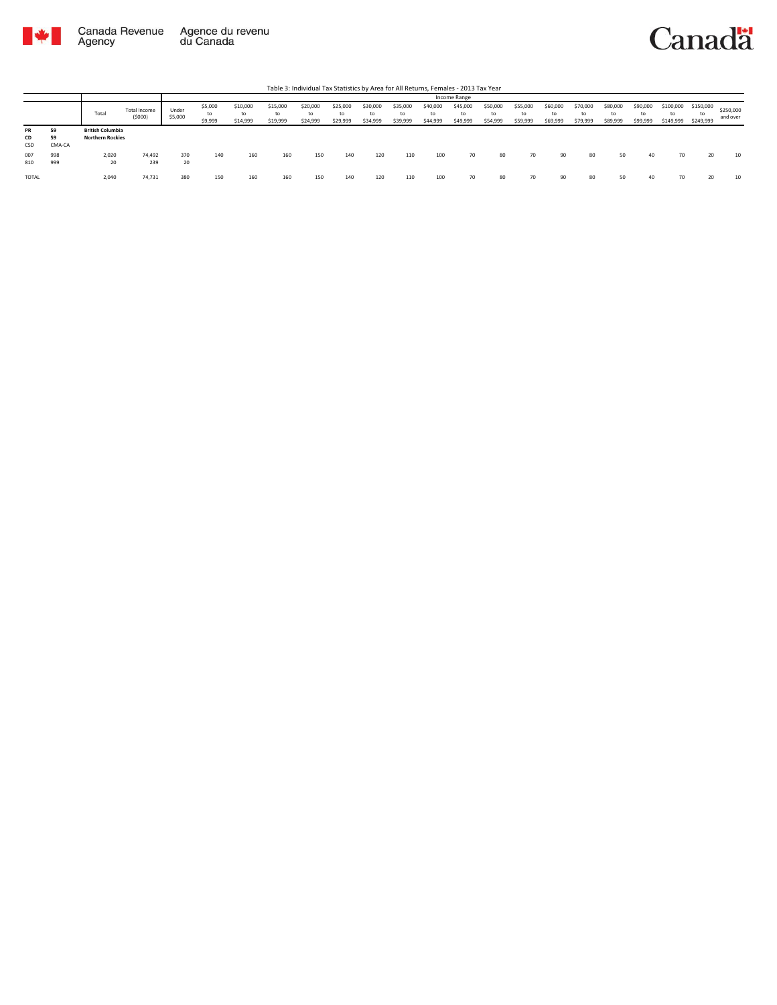

Agency



Total Total Income (\$000) Under \$5,000 \$5,000 to \$9,999 \$10,000 to \$14,999 \$15,000 to \$19,999 \$20,000 to \$24,999 \$25,000 to \$29,999 \$30,000 to \$34,999 \$35,000 to \$39,999 \$40,000 to \$44,999 \$45,000 to \$49,999 \$50,000 to \$54,999 \$55,000 to \$59,999 \$60,000 to \$69,999 \$70,000 to \$79,999 \$80,000 to \$89,999 Table 3: Individual Tax Statistics by Area for All Returns, Females - 2013 Tax Year Income Range

|                        |                    | Total                                              | <b>Total Income</b><br>(5000) | Under<br>\$5,000 | \$5,000<br>to<br>\$9,999 | \$10,000<br>to<br>\$14,999 | \$15,000<br>to<br>\$19,999 | \$20,000<br>to<br>\$24,999 | \$25,000<br>\$29,999 | \$30,000<br>to<br>\$34,999 | \$35,000<br>\$39,999 | \$40,000<br>to<br>\$44,999 | \$45,000<br>to<br>\$49,999 | \$50,000<br>to<br>\$54,999 | \$55,000<br>\$59,999 | \$60,000<br>to<br>\$69,999 | \$70,000<br>to<br>\$79,999 | \$80,000<br>to<br>\$89,999 | \$90,000<br>to<br>\$99,999 | \$100,000<br>to<br>\$149,999 | \$150,000<br>to<br>\$249,999 | \$250,000<br>and over |  |
|------------------------|--------------------|----------------------------------------------------|-------------------------------|------------------|--------------------------|----------------------------|----------------------------|----------------------------|----------------------|----------------------------|----------------------|----------------------------|----------------------------|----------------------------|----------------------|----------------------------|----------------------------|----------------------------|----------------------------|------------------------------|------------------------------|-----------------------|--|
| PR<br>CD<br><b>CSD</b> | 59<br>59<br>CMA-CA | <b>British Columbia</b><br><b>Northern Rockies</b> |                               |                  |                          |                            |                            |                            |                      |                            |                      |                            |                            |                            |                      |                            |                            |                            |                            |                              |                              |                       |  |
| 007<br>810             | 998<br>999         | 2,020<br>20                                        | 74,492<br>239                 | 370<br>20        | 140                      | 160                        | 160                        | 150                        | 140                  | 120                        | 110                  | 100                        | 70                         | 80                         | 70                   | 90                         | 80                         | 50                         | 40                         | 70                           | 20                           | 10                    |  |
| <b>TOTAL</b>           |                    | 2.040                                              | 74.731                        | 380              | 150                      | 160                        | 160                        | 150                        | 140                  | 120                        | 110                  | 100                        | 70                         | 80                         | 70                   | ۹ſ                         | 80                         | 50                         | 40                         |                              |                              |                       |  |